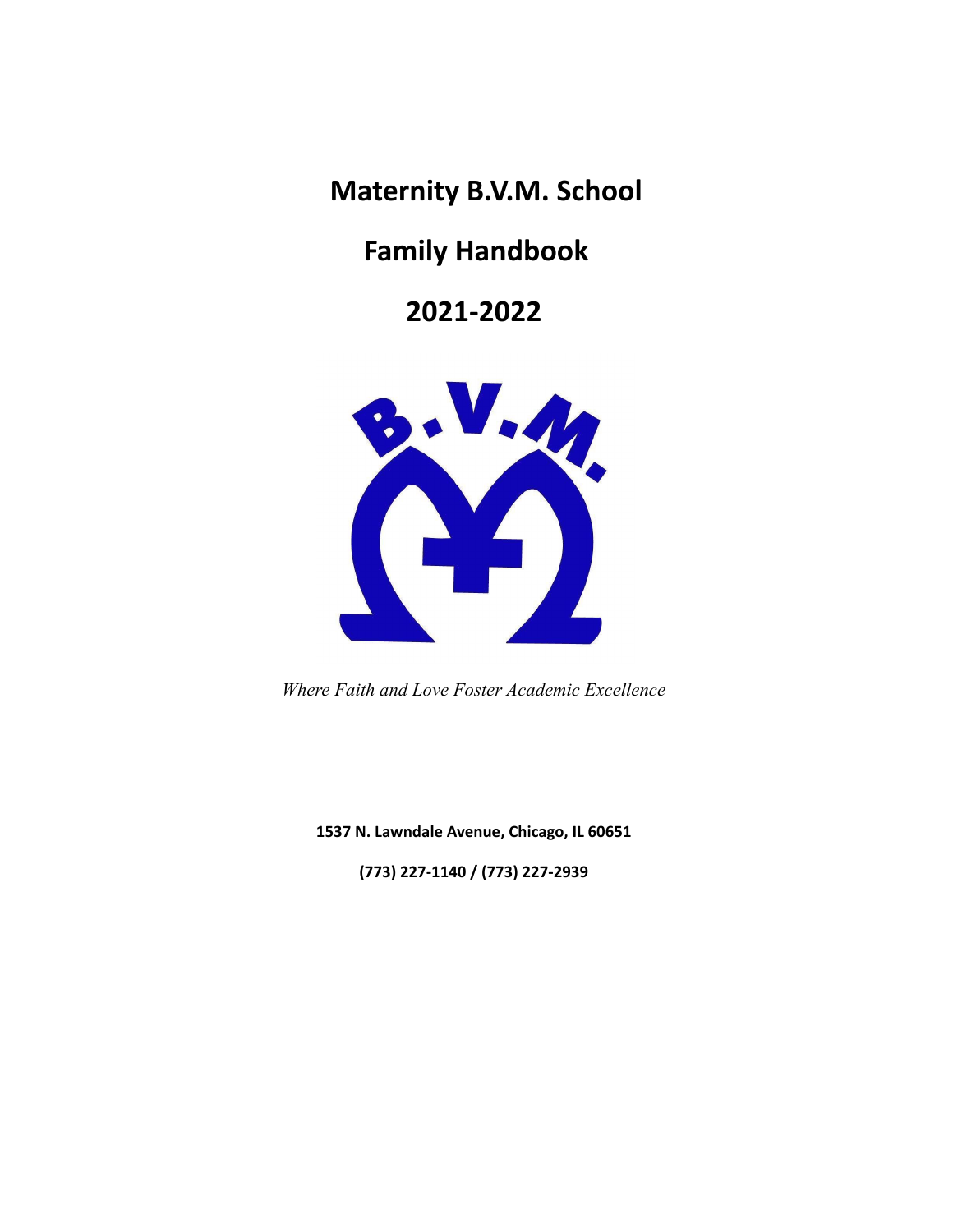**Maternity B.V.M. School**

# **Family Handbook**

# **2021-2022**



*Where Faith and Love Foster Academic Excellence*

**1537 N. Lawndale Avenue, Chicago, IL 60651**

**(773) 227-1140 / (773) 227-2939**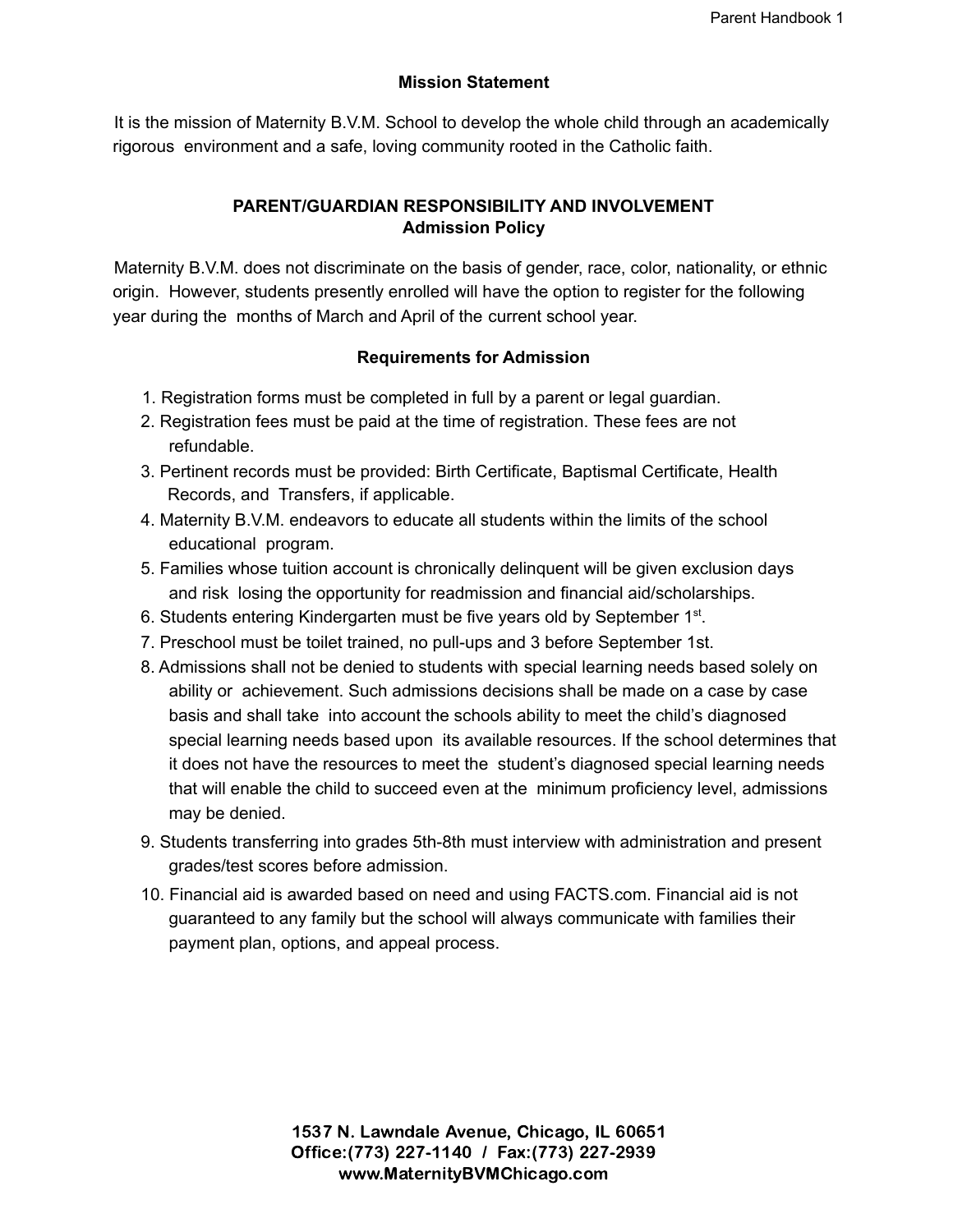# **Mission Statement**

It is the mission of Maternity B.V.M. School to develop the whole child through an academically rigorous environment and a safe, loving community rooted in the Catholic faith.

# **PARENT/GUARDIAN RESPONSIBILITY AND INVOLVEMENT Admission Policy**

Maternity B.V.M. does not discriminate on the basis of gender, race, color, nationality, or ethnic origin. However, students presently enrolled will have the option to register for the following year during the months of March and April of the current school year.

# **Requirements for Admission**

- 1. Registration forms must be completed in full by a parent or legal guardian.
- 2. Registration fees must be paid at the time of registration. These fees are not refundable.
- 3. Pertinent records must be provided: Birth Certificate, Baptismal Certificate, Health Records, and Transfers, if applicable.
- 4. Maternity B.V.M. endeavors to educate all students within the limits of the school educational program.
- 5. Families whose tuition account is chronically delinquent will be given exclusion days and risk losing the opportunity for readmission and financial aid/scholarships.
- 6. Students entering Kindergarten must be five years old by September 1<sup>st</sup>.
- 7. Preschool must be toilet trained, no pull-ups and 3 before September 1st.
- 8. Admissions shall not be denied to students with special learning needs based solely on ability or achievement. Such admissions decisions shall be made on a case by case basis and shall take into account the schools ability to meet the child's diagnosed special learning needs based upon its available resources. If the school determines that it does not have the resources to meet the student's diagnosed special learning needs that will enable the child to succeed even at the minimum proficiency level, admissions may be denied.
- 9. Students transferring into grades 5th-8th must interview with administration and present grades/test scores before admission.
- 10. Financial aid is awarded based on need and using FACTS.com. Financial aid is not guaranteed to any family but the school will always communicate with families their payment plan, options, and appeal process.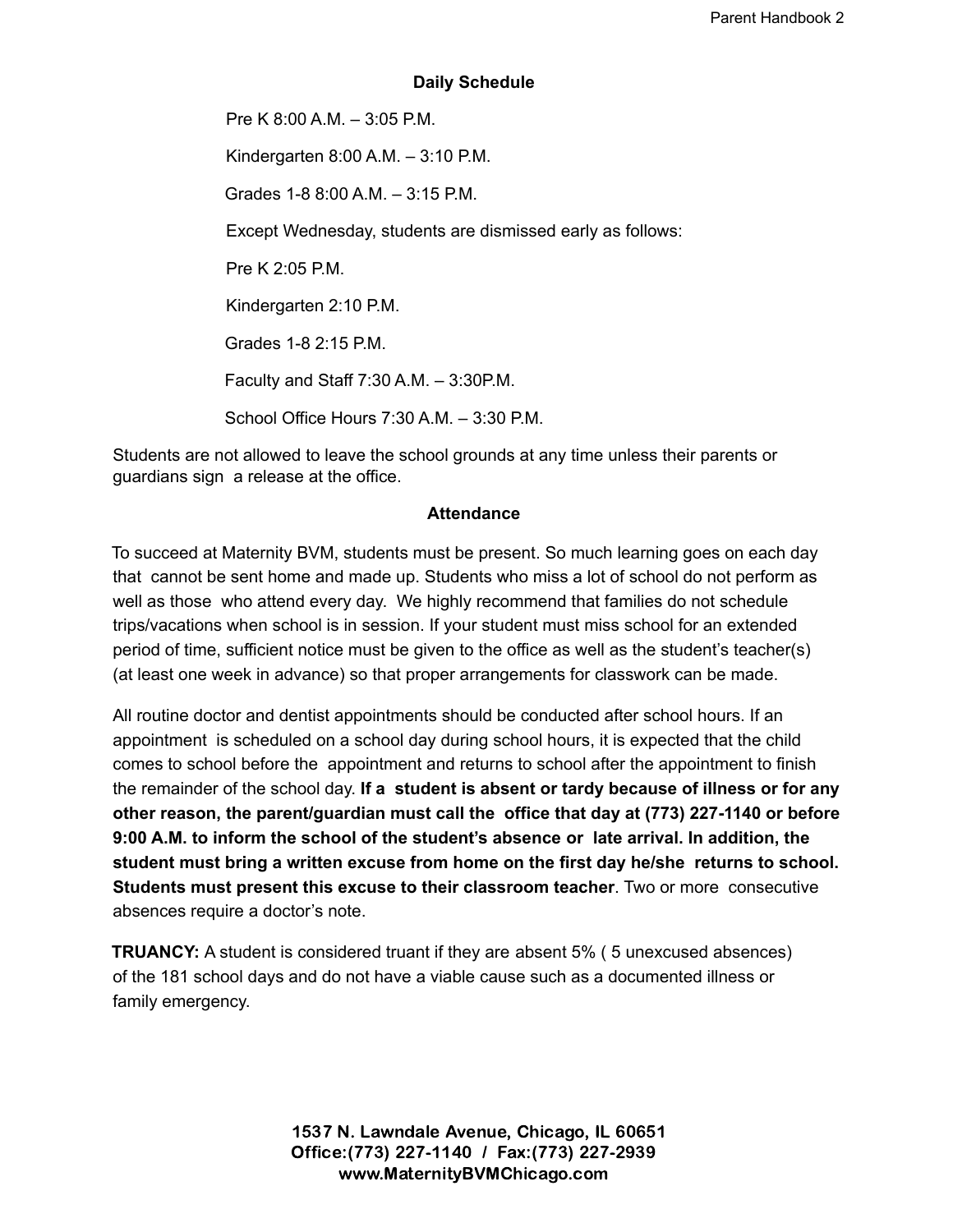#### **Daily Schedule**

Pre K 8:00 A.M. – 3:05 P.M. Kindergarten 8:00 A.M. – 3:10 P.M. Grades 1-8 8:00 A.M. – 3:15 P.M. Except Wednesday, students are dismissed early as follows: Pre K  $2.05$  PM Kindergarten 2:10 P.M. Grades 1-8 2:15 P.M. Faculty and Staff 7:30 A.M. – 3:30P.M. School Office Hours 7:30 A.M. – 3:30 P.M.

Students are not allowed to leave the school grounds at any time unless their parents or guardians sign a release at the office.

#### **Attendance**

To succeed at Maternity BVM, students must be present. So much learning goes on each day that cannot be sent home and made up. Students who miss a lot of school do not perform as well as those who attend every day. We highly recommend that families do not schedule trips/vacations when school is in session. If your student must miss school for an extended period of time, sufficient notice must be given to the office as well as the student's teacher(s) (at least one week in advance) so that proper arrangements for classwork can be made.

All routine doctor and dentist appointments should be conducted after school hours. If an appointment is scheduled on a school day during school hours, it is expected that the child comes to school before the appointment and returns to school after the appointment to finish the remainder of the school day. **If a student is absent or tardy because of illness or for any other reason, the parent/guardian must call the office that day at (773) 227-1140 or before 9:00 A.M. to inform the school of the student's absence or late arrival. In addition, the student must bring a written excuse from home on the first day he/she returns to school. Students must present this excuse to their classroom teacher**. Two or more consecutive absences require a doctor's note.

**TRUANCY:** A student is considered truant if they are absent 5% ( 5 unexcused absences) of the 181 school days and do not have a viable cause such as a documented illness or family emergency.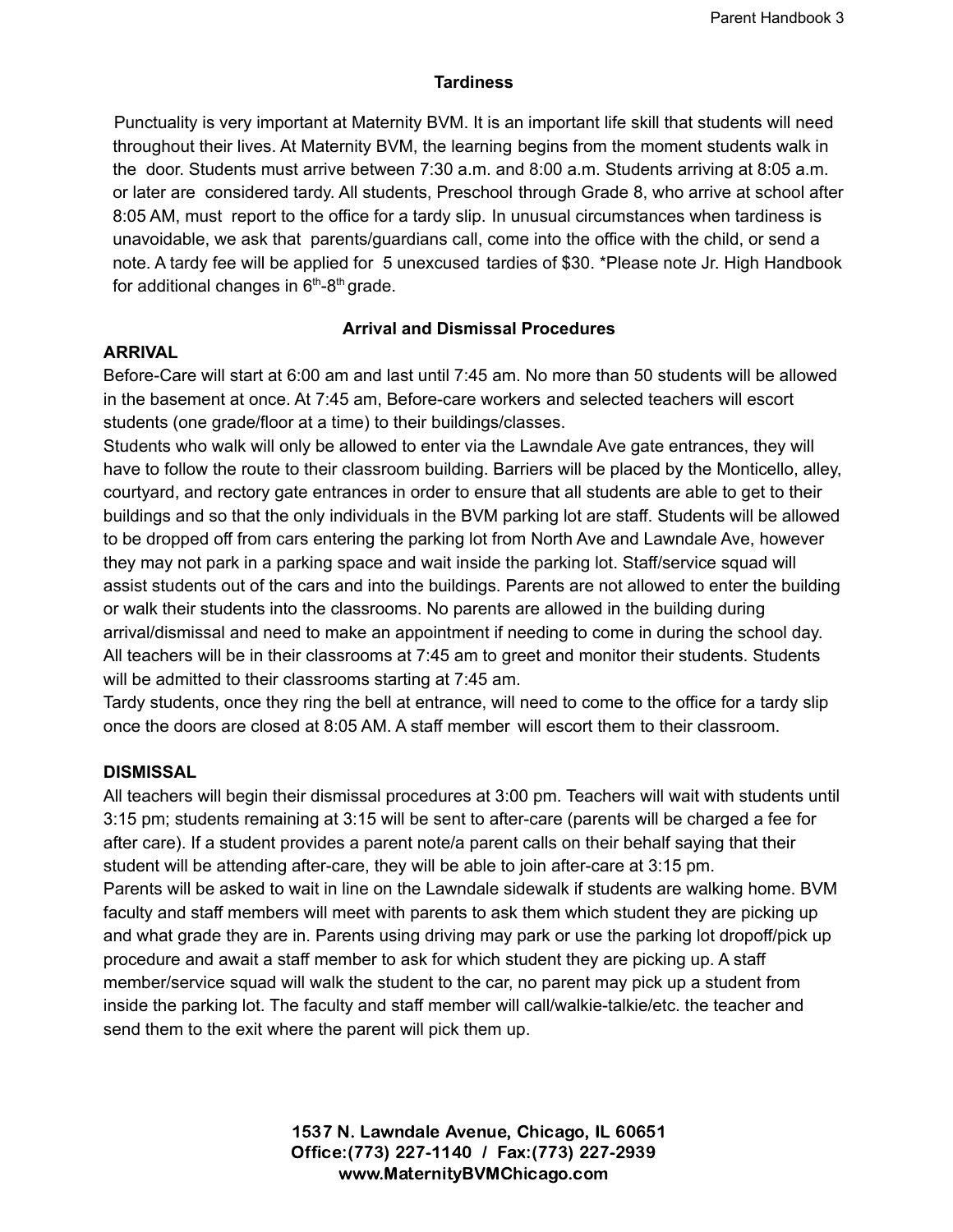## **Tardiness**

Punctuality is very important at Maternity BVM. It is an important life skill that students will need throughout their lives. At Maternity BVM, the learning begins from the moment students walk in the door. Students must arrive between 7:30 a.m. and 8:00 a.m. Students arriving at 8:05 a.m. or later are considered tardy. All students, Preschool through Grade 8, who arrive at school after 8:05 AM, must report to the office for a tardy slip. In unusual circumstances when tardiness is unavoidable, we ask that parents/guardians call, come into the office with the child, or send a note. A tardy fee will be applied for 5 unexcused tardies of \$30. \*Please note Jr. High Handbook for additional changes in  $6<sup>th</sup>-8<sup>th</sup>$  grade.

# **Arrival and Dismissal Procedures**

# **ARRIVAL**

Before-Care will start at 6:00 am and last until 7:45 am. No more than 50 students will be allowed in the basement at once. At 7:45 am, Before-care workers and selected teachers will escort students (one grade/floor at a time) to their buildings/classes.

Students who walk will only be allowed to enter via the Lawndale Ave gate entrances, they will have to follow the route to their classroom building. Barriers will be placed by the Monticello, alley, courtyard, and rectory gate entrances in order to ensure that all students are able to get to their buildings and so that the only individuals in the BVM parking lot are staff. Students will be allowed to be dropped off from cars entering the parking lot from North Ave and Lawndale Ave, however they may not park in a parking space and wait inside the parking lot. Staff/service squad will assist students out of the cars and into the buildings. Parents are not allowed to enter the building or walk their students into the classrooms. No parents are allowed in the building during arrival/dismissal and need to make an appointment if needing to come in during the school day. All teachers will be in their classrooms at 7:45 am to greet and monitor their students. Students will be admitted to their classrooms starting at 7:45 am.

Tardy students, once they ring the bell at entrance, will need to come to the office for a tardy slip once the doors are closed at 8:05 AM. A staff member will escort them to their classroom.

# **DISMISSAL**

All teachers will begin their dismissal procedures at 3:00 pm. Teachers will wait with students until 3:15 pm; students remaining at 3:15 will be sent to after-care (parents will be charged a fee for after care). If a student provides a parent note/a parent calls on their behalf saying that their student will be attending after-care, they will be able to join after-care at 3:15 pm. Parents will be asked to wait in line on the Lawndale sidewalk if students are walking home. BVM faculty and staff members will meet with parents to ask them which student they are picking up and what grade they are in. Parents using driving may park or use the parking lot dropoff/pick up procedure and await a staff member to ask for which student they are picking up. A staff member/service squad will walk the student to the car, no parent may pick up a student from inside the parking lot. The faculty and staff member will call/walkie-talkie/etc. the teacher and send them to the exit where the parent will pick them up.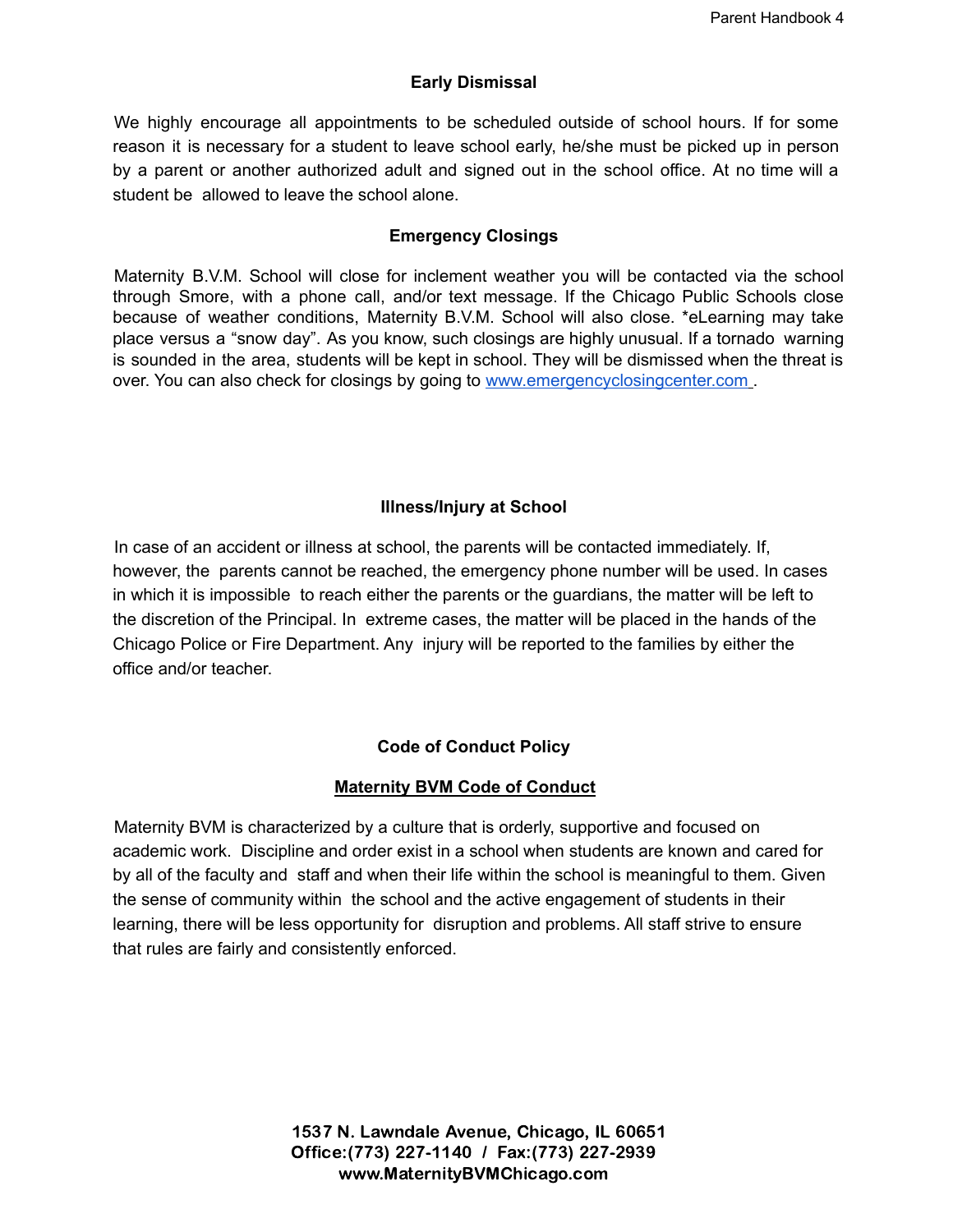# **Early Dismissal**

We highly encourage all appointments to be scheduled outside of school hours. If for some reason it is necessary for a student to leave school early, he/she must be picked up in person by a parent or another authorized adult and signed out in the school office. At no time will a student be allowed to leave the school alone.

# **Emergency Closings**

Maternity B.V.M. School will close for inclement weather you will be contacted via the school through Smore, with a phone call, and/or text message. If the Chicago Public Schools close because of weather conditions, Maternity B.V.M. School will also close. \*eLearning may take place versus a "snow day". As you know, such closings are highly unusual. If a tornado warning is sounded in the area, students will be kept in school. They will be dismissed when the threat is over. You can also check for closings by going to [www.emergencyclosingcenter.com](http://www.emergencyclosingcenter.com) .

# **Illness/Injury at School**

In case of an accident or illness at school, the parents will be contacted immediately. If, however, the parents cannot be reached, the emergency phone number will be used. In cases in which it is impossible to reach either the parents or the guardians, the matter will be left to the discretion of the Principal. In extreme cases, the matter will be placed in the hands of the Chicago Police or Fire Department. Any injury will be reported to the families by either the office and/or teacher.

# **Code of Conduct Policy**

# **Maternity BVM Code of Conduct**

Maternity BVM is characterized by a culture that is orderly, supportive and focused on academic work. Discipline and order exist in a school when students are known and cared for by all of the faculty and staff and when their life within the school is meaningful to them. Given the sense of community within the school and the active engagement of students in their learning, there will be less opportunity for disruption and problems. All staff strive to ensure that rules are fairly and consistently enforced.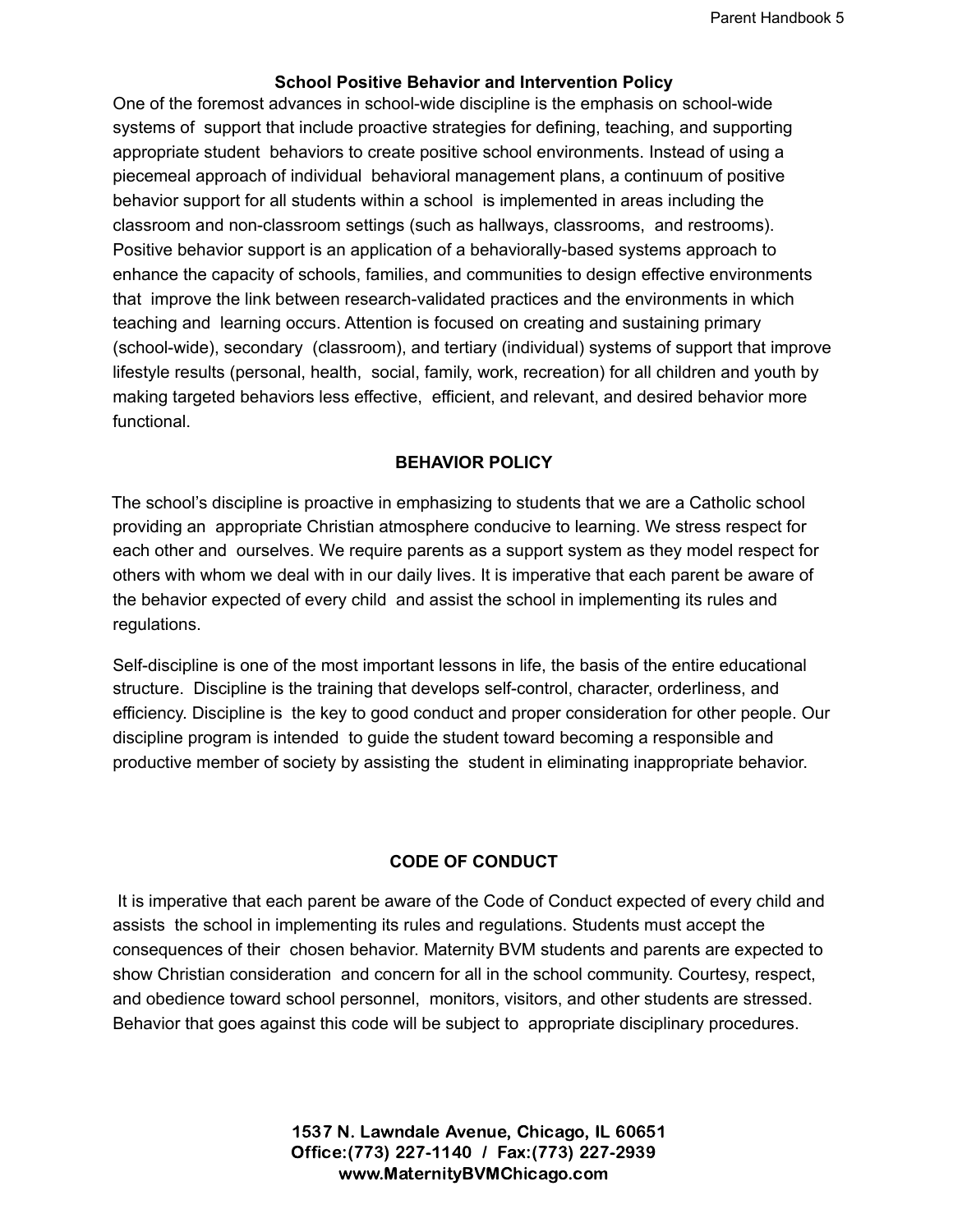#### **School Positive Behavior and Intervention Policy**

One of the foremost advances in school-wide discipline is the emphasis on school-wide systems of support that include proactive strategies for defining, teaching, and supporting appropriate student behaviors to create positive school environments. Instead of using a piecemeal approach of individual behavioral management plans, a continuum of positive behavior support for all students within a school is implemented in areas including the classroom and non-classroom settings (such as hallways, classrooms, and restrooms). Positive behavior support is an application of a behaviorally-based systems approach to enhance the capacity of schools, families, and communities to design effective environments that improve the link between research-validated practices and the environments in which teaching and learning occurs. Attention is focused on creating and sustaining primary (school-wide), secondary (classroom), and tertiary (individual) systems of support that improve lifestyle results (personal, health, social, family, work, recreation) for all children and youth by making targeted behaviors less effective, efficient, and relevant, and desired behavior more functional.

#### **BEHAVIOR POLICY**

The school's discipline is proactive in emphasizing to students that we are a Catholic school providing an appropriate Christian atmosphere conducive to learning. We stress respect for each other and ourselves. We require parents as a support system as they model respect for others with whom we deal with in our daily lives. It is imperative that each parent be aware of the behavior expected of every child and assist the school in implementing its rules and regulations.

Self-discipline is one of the most important lessons in life, the basis of the entire educational structure. Discipline is the training that develops self-control, character, orderliness, and efficiency. Discipline is the key to good conduct and proper consideration for other people. Our discipline program is intended to guide the student toward becoming a responsible and productive member of society by assisting the student in eliminating inappropriate behavior.

#### **CODE OF CONDUCT**

It is imperative that each parent be aware of the Code of Conduct expected of every child and assists the school in implementing its rules and regulations. Students must accept the consequences of their chosen behavior. Maternity BVM students and parents are expected to show Christian consideration and concern for all in the school community. Courtesy, respect, and obedience toward school personnel, monitors, visitors, and other students are stressed. Behavior that goes against this code will be subject to appropriate disciplinary procedures.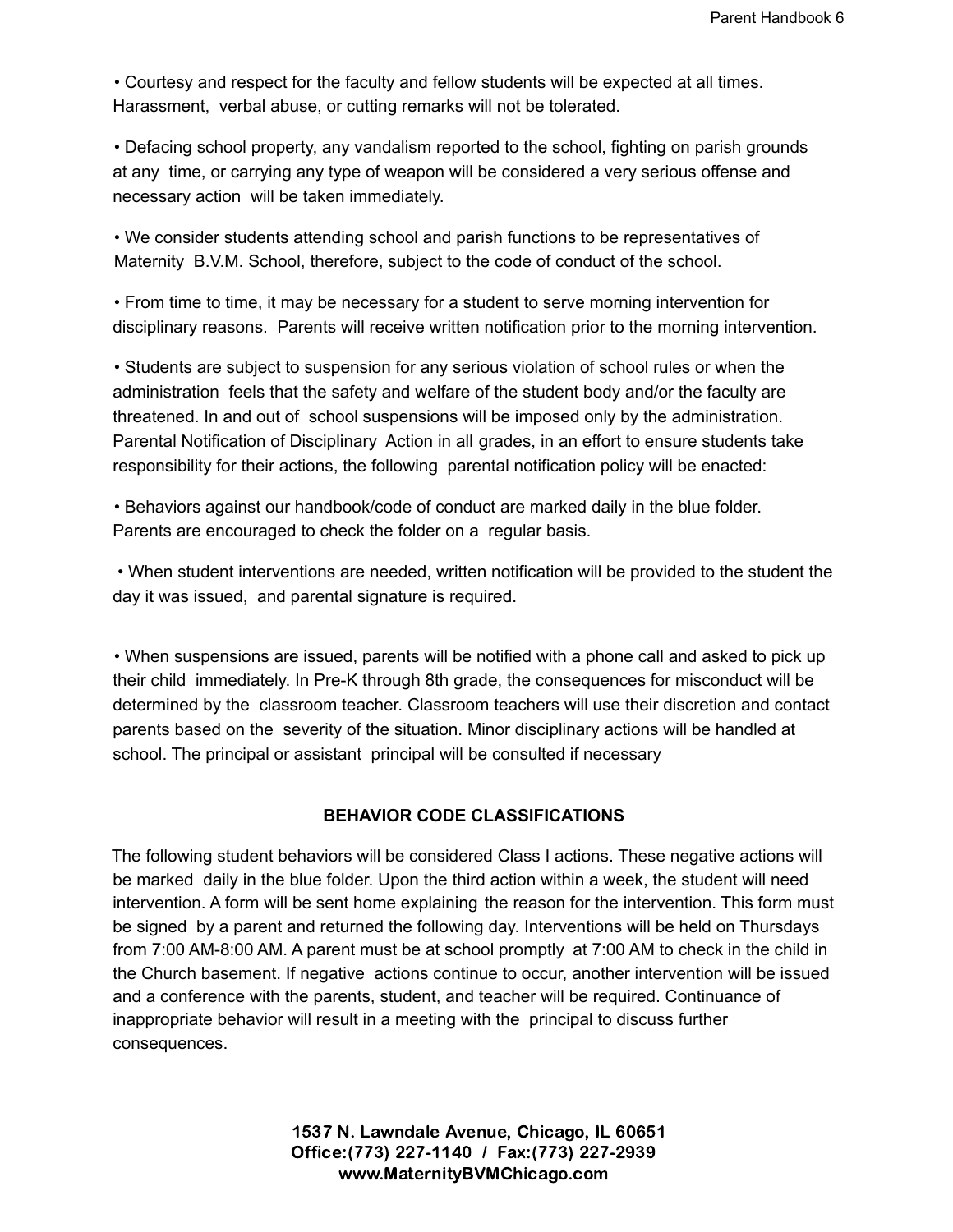• Courtesy and respect for the faculty and fellow students will be expected at all times. Harassment, verbal abuse, or cutting remarks will not be tolerated.

• Defacing school property, any vandalism reported to the school, fighting on parish grounds at any time, or carrying any type of weapon will be considered a very serious offense and necessary action will be taken immediately.

• We consider students attending school and parish functions to be representatives of Maternity B.V.M. School, therefore, subject to the code of conduct of the school.

• From time to time, it may be necessary for a student to serve morning intervention for disciplinary reasons. Parents will receive written notification prior to the morning intervention.

• Students are subject to suspension for any serious violation of school rules or when the administration feels that the safety and welfare of the student body and/or the faculty are threatened. In and out of school suspensions will be imposed only by the administration. Parental Notification of Disciplinary Action in all grades, in an effort to ensure students take responsibility for their actions, the following parental notification policy will be enacted:

• Behaviors against our handbook/code of conduct are marked daily in the blue folder. Parents are encouraged to check the folder on a regular basis.

• When student interventions are needed, written notification will be provided to the student the day it was issued, and parental signature is required.

• When suspensions are issued, parents will be notified with a phone call and asked to pick up their child immediately. In Pre-K through 8th grade, the consequences for misconduct will be determined by the classroom teacher. Classroom teachers will use their discretion and contact parents based on the severity of the situation. Minor disciplinary actions will be handled at school. The principal or assistant principal will be consulted if necessary

# **BEHAVIOR CODE CLASSIFICATIONS**

The following student behaviors will be considered Class I actions. These negative actions will be marked daily in the blue folder. Upon the third action within a week, the student will need intervention. A form will be sent home explaining the reason for the intervention. This form must be signed by a parent and returned the following day. Interventions will be held on Thursdays from 7:00 AM-8:00 AM. A parent must be at school promptly at 7:00 AM to check in the child in the Church basement. If negative actions continue to occur, another intervention will be issued and a conference with the parents, student, and teacher will be required. Continuance of inappropriate behavior will result in a meeting with the principal to discuss further consequences.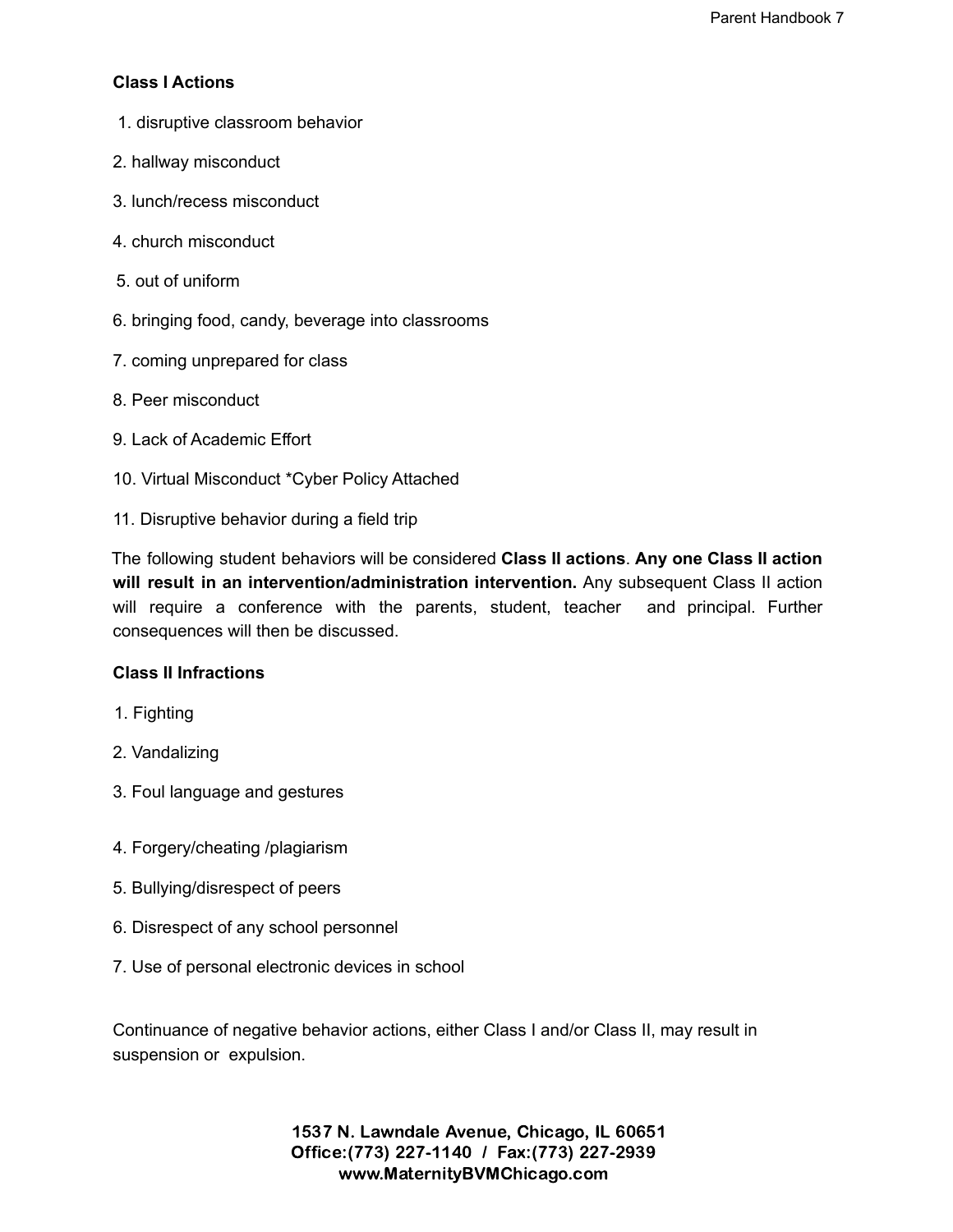# **Class I Actions**

- 1. disruptive classroom behavior
- 2. hallway misconduct
- 3. lunch/recess misconduct
- 4. church misconduct
- 5. out of uniform
- 6. bringing food, candy, beverage into classrooms
- 7. coming unprepared for class
- 8. Peer misconduct
- 9. Lack of Academic Effort
- 10. Virtual Misconduct \*Cyber Policy Attached
- 11. Disruptive behavior during a field trip

The following student behaviors will be considered **Class II actions**. **Any one Class II action will result in an intervention/administration intervention.** Any subsequent Class II action will require a conference with the parents, student, teacher and principal. Further consequences will then be discussed.

#### **Class II Infractions**

- 1. Fighting
- 2. Vandalizing
- 3. Foul language and gestures
- 4. Forgery/cheating /plagiarism
- 5. Bullying/disrespect of peers
- 6. Disrespect of any school personnel
- 7. Use of personal electronic devices in school

Continuance of negative behavior actions, either Class I and/or Class II, may result in suspension or expulsion.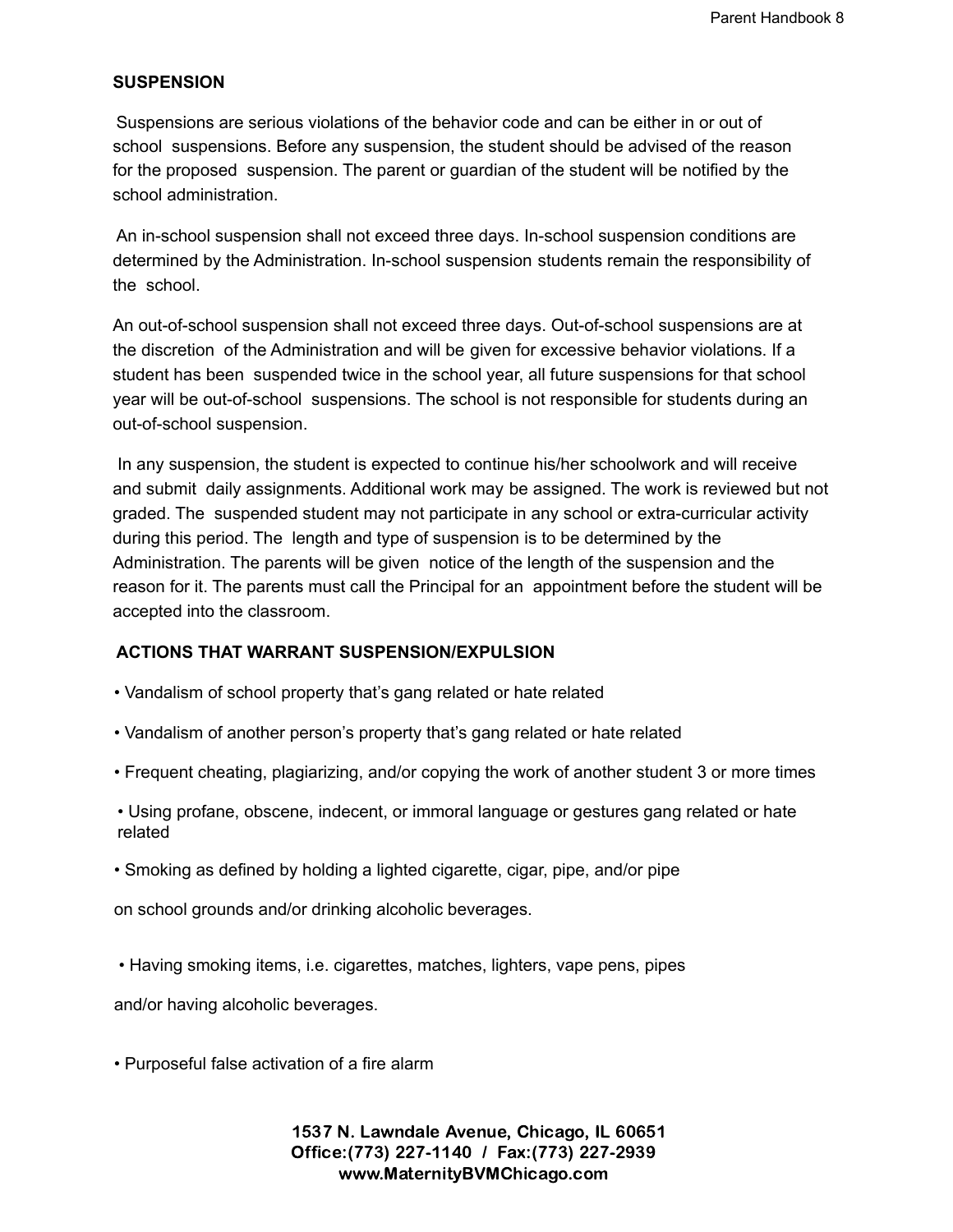#### **SUSPENSION**

Suspensions are serious violations of the behavior code and can be either in or out of school suspensions. Before any suspension, the student should be advised of the reason for the proposed suspension. The parent or guardian of the student will be notified by the school administration.

An in-school suspension shall not exceed three days. In-school suspension conditions are determined by the Administration. In-school suspension students remain the responsibility of the school.

An out-of-school suspension shall not exceed three days. Out-of-school suspensions are at the discretion of the Administration and will be given for excessive behavior violations. If a student has been suspended twice in the school year, all future suspensions for that school year will be out-of-school suspensions. The school is not responsible for students during an out-of-school suspension.

In any suspension, the student is expected to continue his/her schoolwork and will receive and submit daily assignments. Additional work may be assigned. The work is reviewed but not graded. The suspended student may not participate in any school or extra-curricular activity during this period. The length and type of suspension is to be determined by the Administration. The parents will be given notice of the length of the suspension and the reason for it. The parents must call the Principal for an appointment before the student will be accepted into the classroom.

#### **ACTIONS THAT WARRANT SUSPENSION/EXPULSION**

- Vandalism of school property that's gang related or hate related
- Vandalism of another person's property that's gang related or hate related
- Frequent cheating, plagiarizing, and/or copying the work of another student 3 or more times
- Using profane, obscene, indecent, or immoral language or gestures gang related or hate related
- Smoking as defined by holding a lighted cigarette, cigar, pipe, and/or pipe

on school grounds and/or drinking alcoholic beverages.

• Having smoking items, i.e. cigarettes, matches, lighters, vape pens, pipes

and/or having alcoholic beverages.

• Purposeful false activation of a fire alarm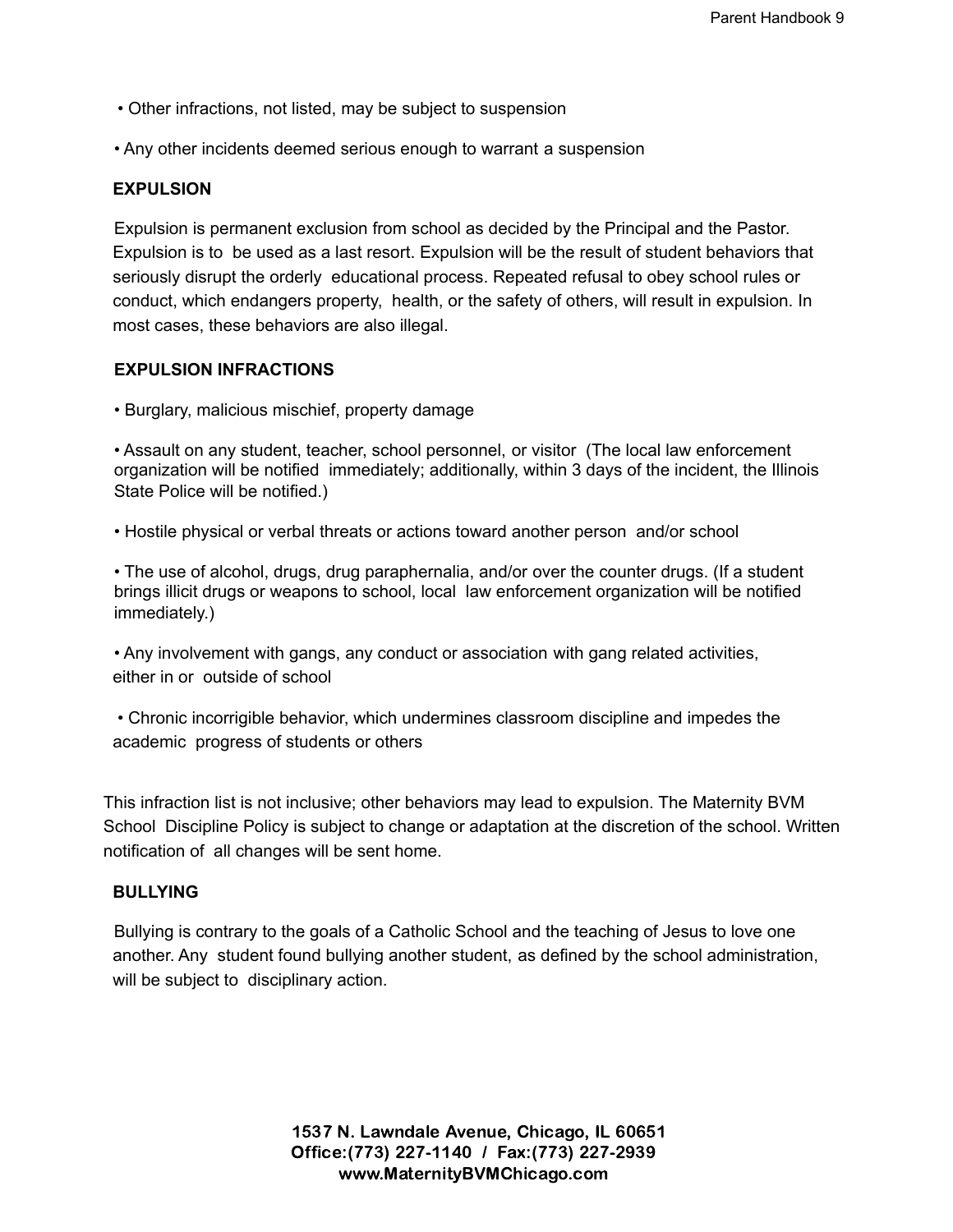- Other infractions, not listed, may be subject to suspension
- Any other incidents deemed serious enough to warrant a suspension

#### **EXPULSION**

Expulsion is permanent exclusion from school as decided by the Principal and the Pastor. Expulsion is to be used as a last resort. Expulsion will be the result of student behaviors that seriously disrupt the orderly educational process. Repeated refusal to obey school rules or conduct, which endangers property, health, or the safety of others, will result in expulsion. In most cases, these behaviors are also illegal.

#### **EXPULSION INFRACTIONS**

• Burglary, malicious mischief, property damage

• Assault on any student, teacher, school personnel, or visitor (The local law enforcement organization will be notified immediately; additionally, within 3 days of the incident, the Illinois State Police will be notified.)

• Hostile physical or verbal threats or actions toward another person and/or school

• The use of alcohol, drugs, drug paraphernalia, and/or over the counter drugs. (If a student brings illicit drugs or weapons to school, local law enforcement organization will be notified immediately.)

• Any involvement with gangs, any conduct or association with gang related activities, either in or outside of school

• Chronic incorrigible behavior, which undermines classroom discipline and impedes the academic progress of students or others

This infraction list is not inclusive; other behaviors may lead to expulsion. The Maternity BVM School Discipline Policy is subject to change or adaptation at the discretion of the school. Written notification of all changes will be sent home.

#### **BULLYING**

Bullying is contrary to the goals of a Catholic School and the teaching of Jesus to love one another. Any student found bullying another student, as defined by the school administration, will be subject to disciplinary action.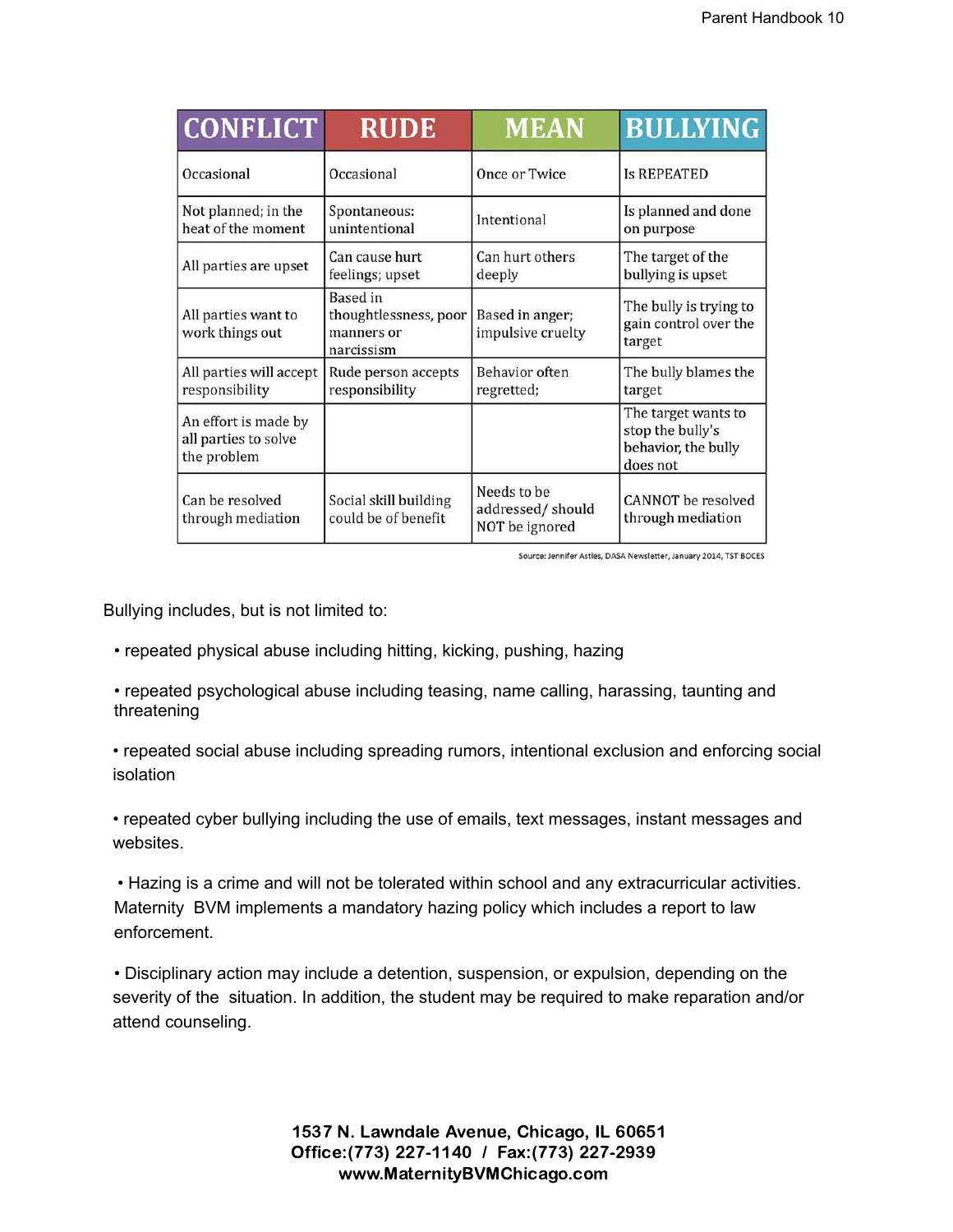| <b>CONFLICT</b>                                             | <b>RUDE</b>                                                          | <b>MEAN</b>                                       | <b>BULLYING</b>                                                            |  |
|-------------------------------------------------------------|----------------------------------------------------------------------|---------------------------------------------------|----------------------------------------------------------------------------|--|
| Occasional                                                  | Occasional                                                           | Once or Twice                                     | <b>Is REPEATED</b>                                                         |  |
| Not planned; in the<br>heat of the moment                   | Spontaneous:<br>unintentional                                        | Intentional                                       | Is planned and done<br>on purpose                                          |  |
| All parties are upset                                       | Can cause hurt<br>feelings; upset                                    | Can hurt others<br>deeply                         | The target of the<br>bullying is upset                                     |  |
| All parties want to<br>work things out                      | <b>Based</b> in<br>thoughtlessness, poor<br>manners or<br>narcissism | Based in anger;<br>impulsive cruelty              | The bully is trying to<br>gain control over the<br>target                  |  |
| All parties will accept<br>responsibility                   | Rude person accepts<br>responsibility                                | <b>Behavior</b> often<br>regretted;               | The bully blames the<br>target                                             |  |
| An effort is made by<br>all parties to solve<br>the problem |                                                                      |                                                   | The target wants to<br>stop the bully's<br>behavior, the bully<br>does not |  |
| Can be resolved<br>through mediation                        | Social skill building<br>could be of benefit                         | Needs to be<br>addressed/should<br>NOT be ignored | <b>CANNOT</b> be resolved<br>through mediation                             |  |

Source: Jennifer Astles, DASA Newsletter, January 2014, TST BOCES

Bullying includes, but is not limited to:

- repeated physical abuse including hitting, kicking, pushing, hazing
- repeated psychological abuse including teasing, name calling, harassing, taunting and threatening

• repeated social abuse including spreading rumors, intentional exclusion and enforcing social isolation

• repeated cyber bullying including the use of emails, text messages, instant messages and websites.

• Hazing is a crime and will not be tolerated within school and any extracurricular activities. Maternity BVM implements a mandatory hazing policy which includes a report to law enforcement.

• Disciplinary action may include a detention, suspension, or expulsion, depending on the severity of the situation. In addition, the student may be required to make reparation and/or attend counseling.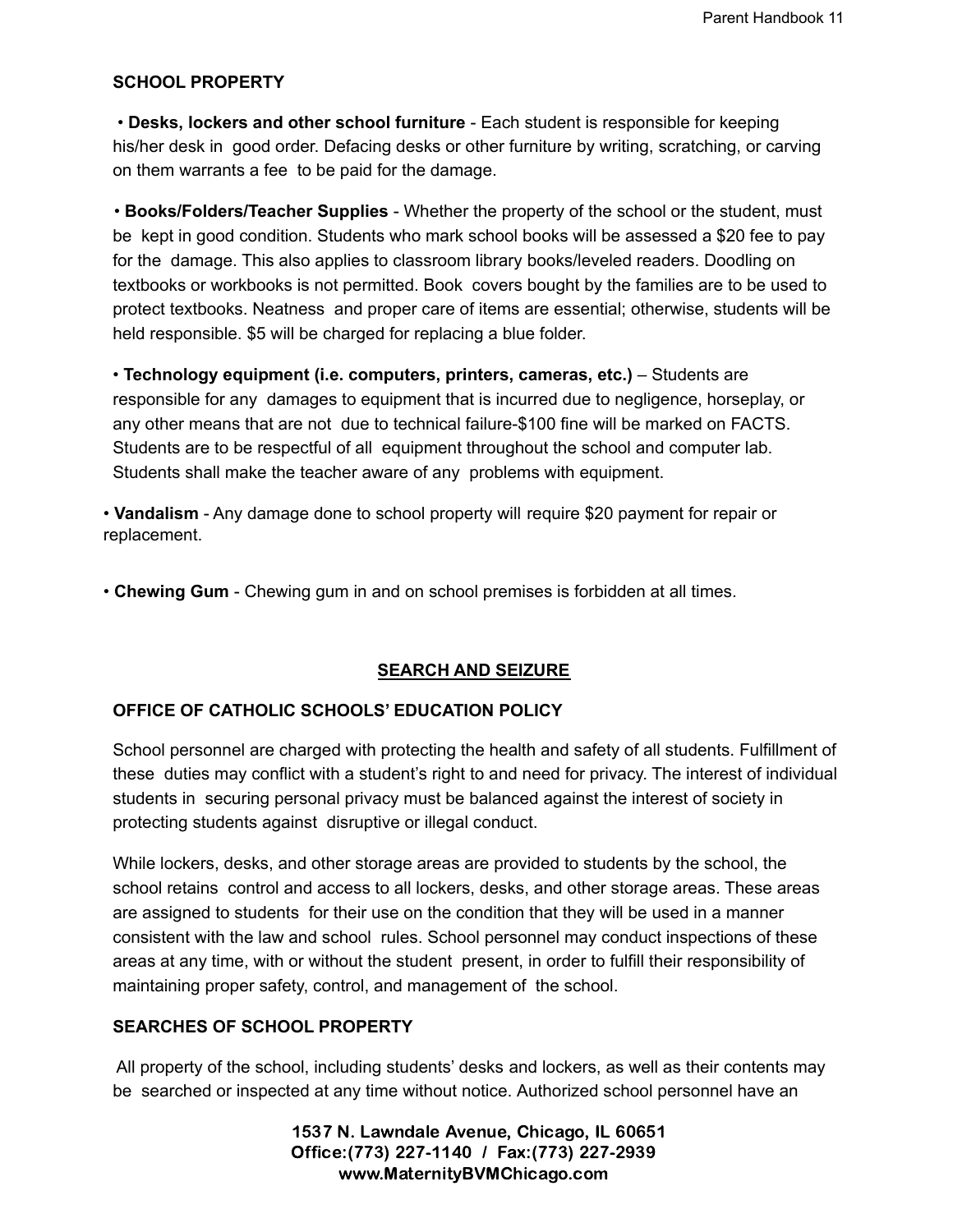# **SCHOOL PROPERTY**

• **Desks, lockers and other school furniture** - Each student is responsible for keeping his/her desk in good order. Defacing desks or other furniture by writing, scratching, or carving on them warrants a fee to be paid for the damage.

• **Books/Folders/Teacher Supplies** - Whether the property of the school or the student, must be kept in good condition. Students who mark school books will be assessed a \$20 fee to pay for the damage. This also applies to classroom library books/leveled readers. Doodling on textbooks or workbooks is not permitted. Book covers bought by the families are to be used to protect textbooks. Neatness and proper care of items are essential; otherwise, students will be held responsible. \$5 will be charged for replacing a blue folder.

• **Technology equipment (i.e. computers, printers, cameras, etc.)** – Students are responsible for any damages to equipment that is incurred due to negligence, horseplay, or any other means that are not due to technical failure-\$100 fine will be marked on FACTS. Students are to be respectful of all equipment throughout the school and computer lab. Students shall make the teacher aware of any problems with equipment.

• **Vandalism** - Any damage done to school property will require \$20 payment for repair or replacement.

• **Chewing Gum** - Chewing gum in and on school premises is forbidden at all times.

# **SEARCH AND SEIZURE**

# **OFFICE OF CATHOLIC SCHOOLS' EDUCATION POLICY**

School personnel are charged with protecting the health and safety of all students. Fulfillment of these duties may conflict with a student's right to and need for privacy. The interest of individual students in securing personal privacy must be balanced against the interest of society in protecting students against disruptive or illegal conduct.

While lockers, desks, and other storage areas are provided to students by the school, the school retains control and access to all lockers, desks, and other storage areas. These areas are assigned to students for their use on the condition that they will be used in a manner consistent with the law and school rules. School personnel may conduct inspections of these areas at any time, with or without the student present, in order to fulfill their responsibility of maintaining proper safety, control, and management of the school.

# **SEARCHES OF SCHOOL PROPERTY**

All property of the school, including students' desks and lockers, as well as their contents may be searched or inspected at any time without notice. Authorized school personnel have an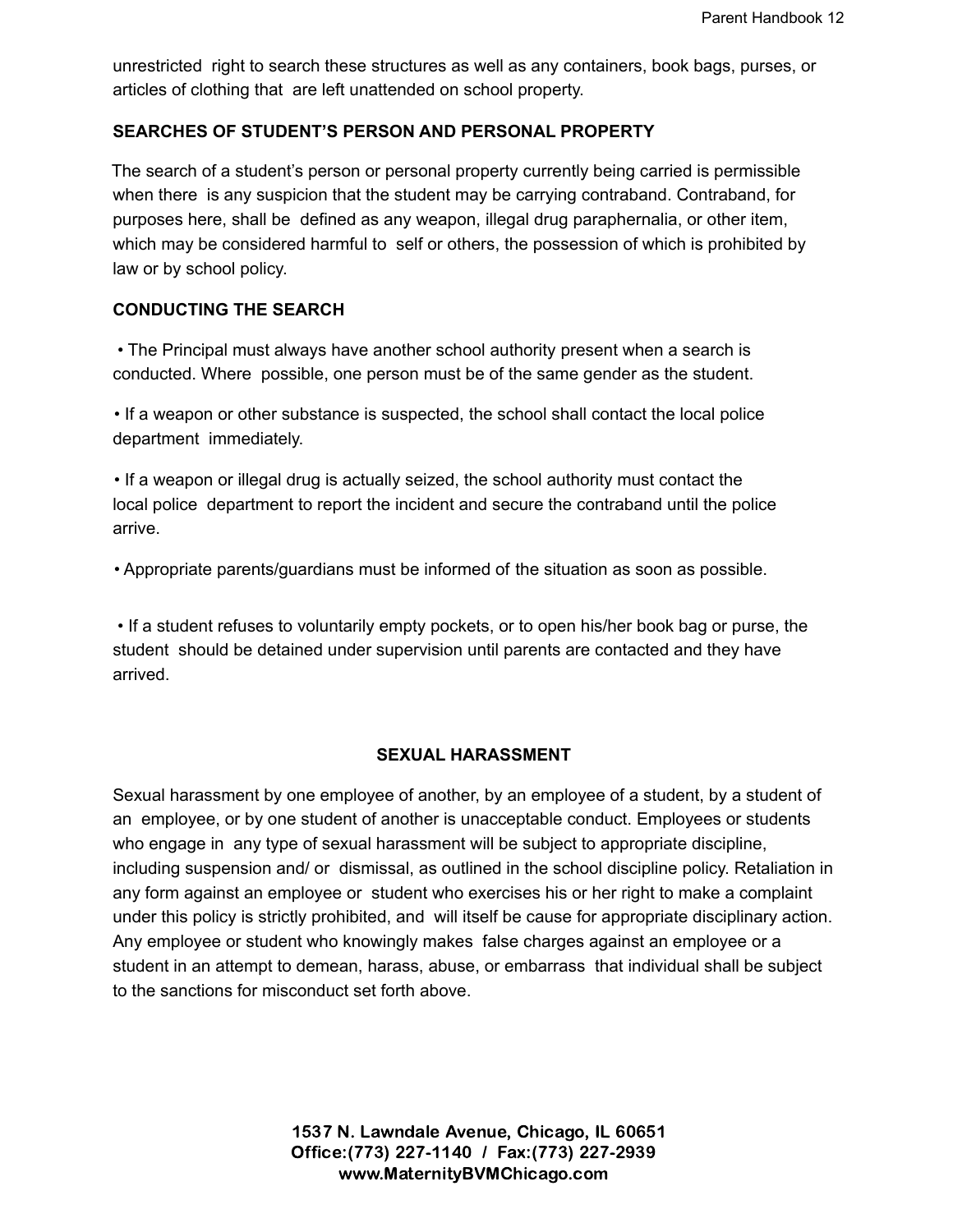unrestricted right to search these structures as well as any containers, book bags, purses, or articles of clothing that are left unattended on school property.

# **SEARCHES OF STUDENT'S PERSON AND PERSONAL PROPERTY**

The search of a student's person or personal property currently being carried is permissible when there is any suspicion that the student may be carrying contraband. Contraband, for purposes here, shall be defined as any weapon, illegal drug paraphernalia, or other item, which may be considered harmful to self or others, the possession of which is prohibited by law or by school policy.

# **CONDUCTING THE SEARCH**

• The Principal must always have another school authority present when a search is conducted. Where possible, one person must be of the same gender as the student.

• If a weapon or other substance is suspected, the school shall contact the local police department immediately.

• If a weapon or illegal drug is actually seized, the school authority must contact the local police department to report the incident and secure the contraband until the police arrive.

• Appropriate parents/guardians must be informed of the situation as soon as possible.

• If a student refuses to voluntarily empty pockets, or to open his/her book bag or purse, the student should be detained under supervision until parents are contacted and they have arrived.

# **SEXUAL HARASSMENT**

Sexual harassment by one employee of another, by an employee of a student, by a student of an employee, or by one student of another is unacceptable conduct. Employees or students who engage in any type of sexual harassment will be subject to appropriate discipline, including suspension and/ or dismissal, as outlined in the school discipline policy. Retaliation in any form against an employee or student who exercises his or her right to make a complaint under this policy is strictly prohibited, and will itself be cause for appropriate disciplinary action. Any employee or student who knowingly makes false charges against an employee or a student in an attempt to demean, harass, abuse, or embarrass that individual shall be subject to the sanctions for misconduct set forth above.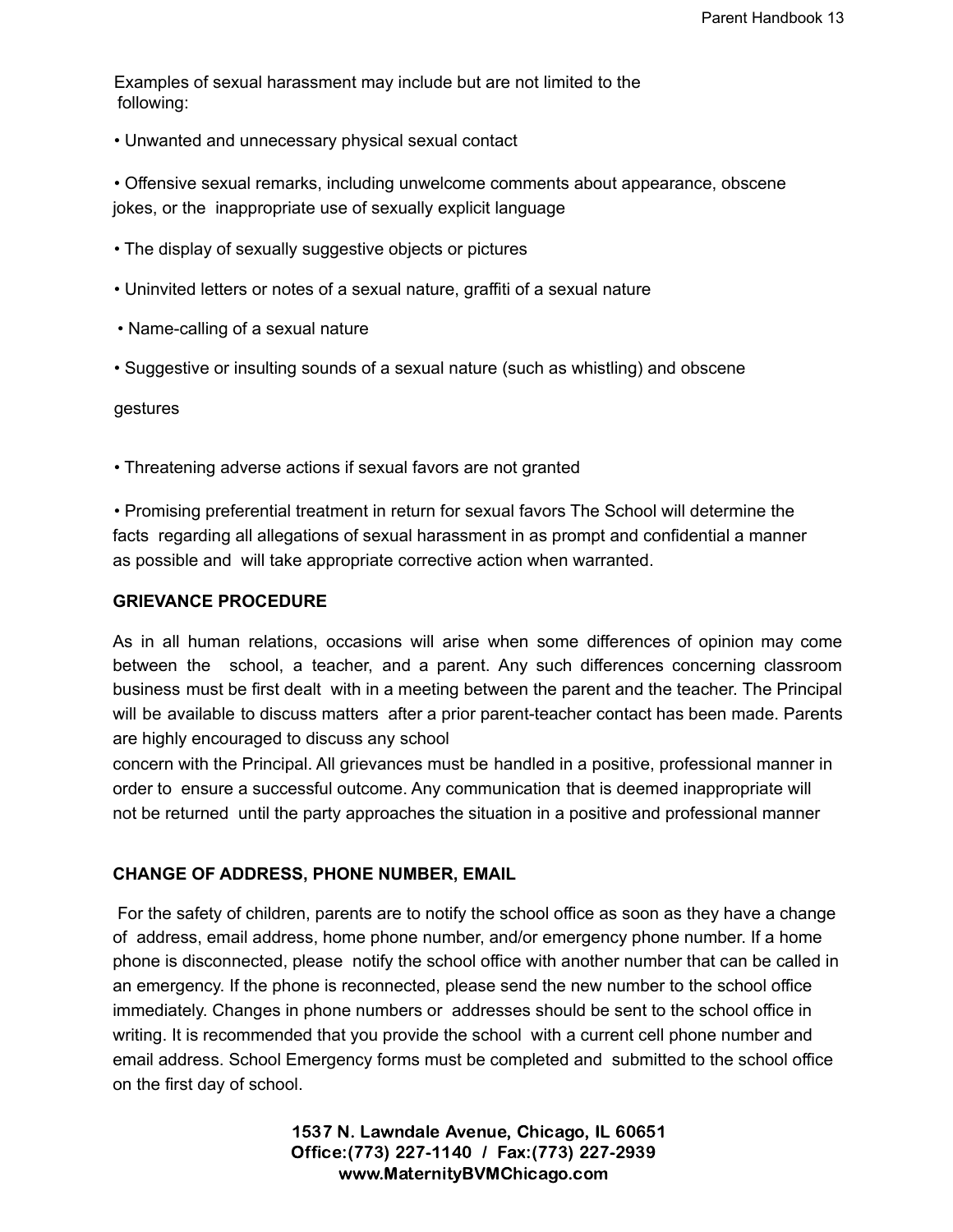Examples of sexual harassment may include but are not limited to the following:

• Unwanted and unnecessary physical sexual contact

• Offensive sexual remarks, including unwelcome comments about appearance, obscene jokes, or the inappropriate use of sexually explicit language

- The display of sexually suggestive objects or pictures
- Uninvited letters or notes of a sexual nature, graffiti of a sexual nature
- Name-calling of a sexual nature
- Suggestive or insulting sounds of a sexual nature (such as whistling) and obscene

gestures

• Threatening adverse actions if sexual favors are not granted

• Promising preferential treatment in return for sexual favors The School will determine the facts regarding all allegations of sexual harassment in as prompt and confidential a manner as possible and will take appropriate corrective action when warranted.

#### **GRIEVANCE PROCEDURE**

As in all human relations, occasions will arise when some differences of opinion may come between the school, a teacher, and a parent. Any such differences concerning classroom business must be first dealt with in a meeting between the parent and the teacher. The Principal will be available to discuss matters after a prior parent-teacher contact has been made. Parents are highly encouraged to discuss any school

concern with the Principal. All grievances must be handled in a positive, professional manner in order to ensure a successful outcome. Any communication that is deemed inappropriate will not be returned until the party approaches the situation in a positive and professional manner

#### **CHANGE OF ADDRESS, PHONE NUMBER, EMAIL**

For the safety of children, parents are to notify the school office as soon as they have a change of address, email address, home phone number, and/or emergency phone number. If a home phone is disconnected, please notify the school office with another number that can be called in an emergency. If the phone is reconnected, please send the new number to the school office immediately. Changes in phone numbers or addresses should be sent to the school office in writing. It is recommended that you provide the school with a current cell phone number and email address. School Emergency forms must be completed and submitted to the school office on the first day of school.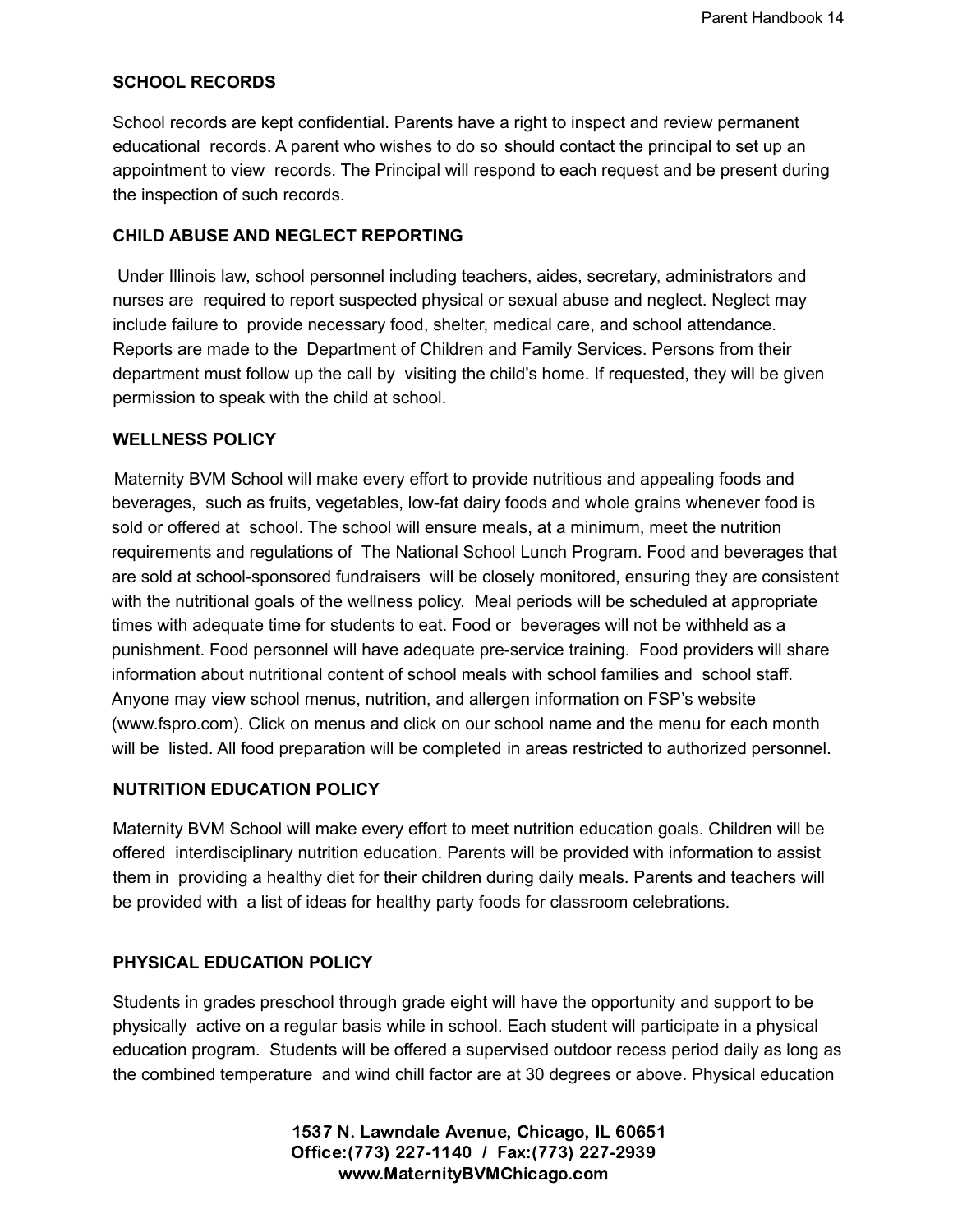# **SCHOOL RECORDS**

School records are kept confidential. Parents have a right to inspect and review permanent educational records. A parent who wishes to do so should contact the principal to set up an appointment to view records. The Principal will respond to each request and be present during the inspection of such records.

#### **CHILD ABUSE AND NEGLECT REPORTING**

Under Illinois law, school personnel including teachers, aides, secretary, administrators and nurses are required to report suspected physical or sexual abuse and neglect. Neglect may include failure to provide necessary food, shelter, medical care, and school attendance. Reports are made to the Department of Children and Family Services. Persons from their department must follow up the call by visiting the child's home. If requested, they will be given permission to speak with the child at school.

# **WELLNESS POLICY**

Maternity BVM School will make every effort to provide nutritious and appealing foods and beverages, such as fruits, vegetables, low-fat dairy foods and whole grains whenever food is sold or offered at school. The school will ensure meals, at a minimum, meet the nutrition requirements and regulations of The National School Lunch Program. Food and beverages that are sold at school-sponsored fundraisers will be closely monitored, ensuring they are consistent with the nutritional goals of the wellness policy. Meal periods will be scheduled at appropriate times with adequate time for students to eat. Food or beverages will not be withheld as a punishment. Food personnel will have adequate pre-service training. Food providers will share information about nutritional content of school meals with school families and school staff. Anyone may view school menus, nutrition, and allergen information on FSP's website (www.fspro.com). Click on menus and click on our school name and the menu for each month will be listed. All food preparation will be completed in areas restricted to authorized personnel.

# **NUTRITION EDUCATION POLICY**

Maternity BVM School will make every effort to meet nutrition education goals. Children will be offered interdisciplinary nutrition education. Parents will be provided with information to assist them in providing a healthy diet for their children during daily meals. Parents and teachers will be provided with a list of ideas for healthy party foods for classroom celebrations.

# **PHYSICAL EDUCATION POLICY**

Students in grades preschool through grade eight will have the opportunity and support to be physically active on a regular basis while in school. Each student will participate in a physical education program. Students will be offered a supervised outdoor recess period daily as long as the combined temperature and wind chill factor are at 30 degrees or above. Physical education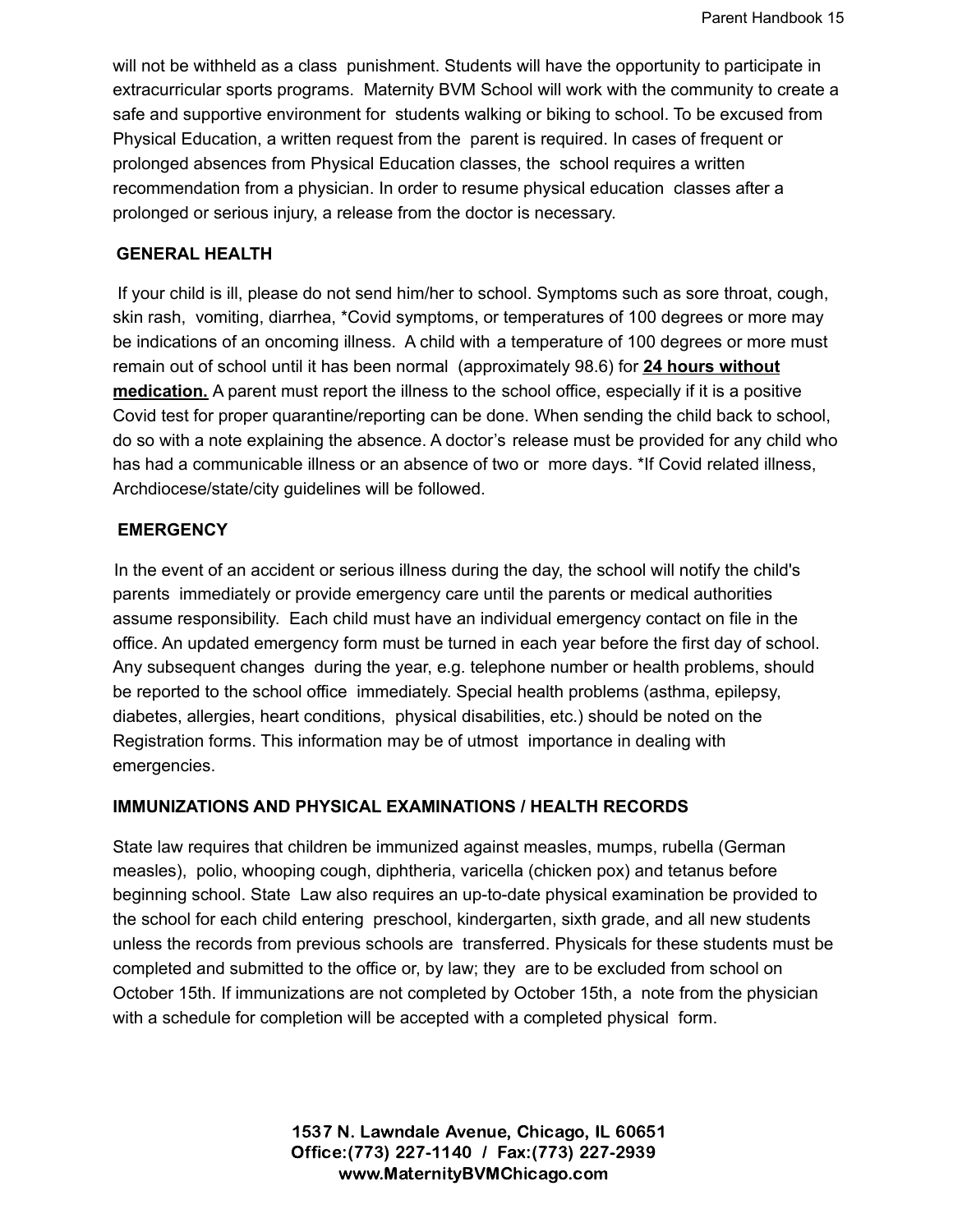will not be withheld as a class punishment. Students will have the opportunity to participate in extracurricular sports programs. Maternity BVM School will work with the community to create a safe and supportive environment for students walking or biking to school. To be excused from Physical Education, a written request from the parent is required. In cases of frequent or prolonged absences from Physical Education classes, the school requires a written recommendation from a physician. In order to resume physical education classes after a prolonged or serious injury, a release from the doctor is necessary.

# **GENERAL HEALTH**

If your child is ill, please do not send him/her to school. Symptoms such as sore throat, cough, skin rash, vomiting, diarrhea, \*Covid symptoms, or temperatures of 100 degrees or more may be indications of an oncoming illness. A child with a temperature of 100 degrees or more must remain out of school until it has been normal (approximately 98.6) for **24 hours without medication.** A parent must report the illness to the school office, especially if it is a positive Covid test for proper quarantine/reporting can be done. When sending the child back to school, do so with a note explaining the absence. A doctor's release must be provided for any child who has had a communicable illness or an absence of two or more days. \*If Covid related illness, Archdiocese/state/city guidelines will be followed.

#### **EMERGENCY**

In the event of an accident or serious illness during the day, the school will notify the child's parents immediately or provide emergency care until the parents or medical authorities assume responsibility. Each child must have an individual emergency contact on file in the office. An updated emergency form must be turned in each year before the first day of school. Any subsequent changes during the year, e.g. telephone number or health problems, should be reported to the school office immediately. Special health problems (asthma, epilepsy, diabetes, allergies, heart conditions, physical disabilities, etc.) should be noted on the Registration forms. This information may be of utmost importance in dealing with emergencies.

# **IMMUNIZATIONS AND PHYSICAL EXAMINATIONS / HEALTH RECORDS**

State law requires that children be immunized against measles, mumps, rubella (German measles), polio, whooping cough, diphtheria, varicella (chicken pox) and tetanus before beginning school. State Law also requires an up-to-date physical examination be provided to the school for each child entering preschool, kindergarten, sixth grade, and all new students unless the records from previous schools are transferred. Physicals for these students must be completed and submitted to the office or, by law; they are to be excluded from school on October 15th. If immunizations are not completed by October 15th, a note from the physician with a schedule for completion will be accepted with a completed physical form.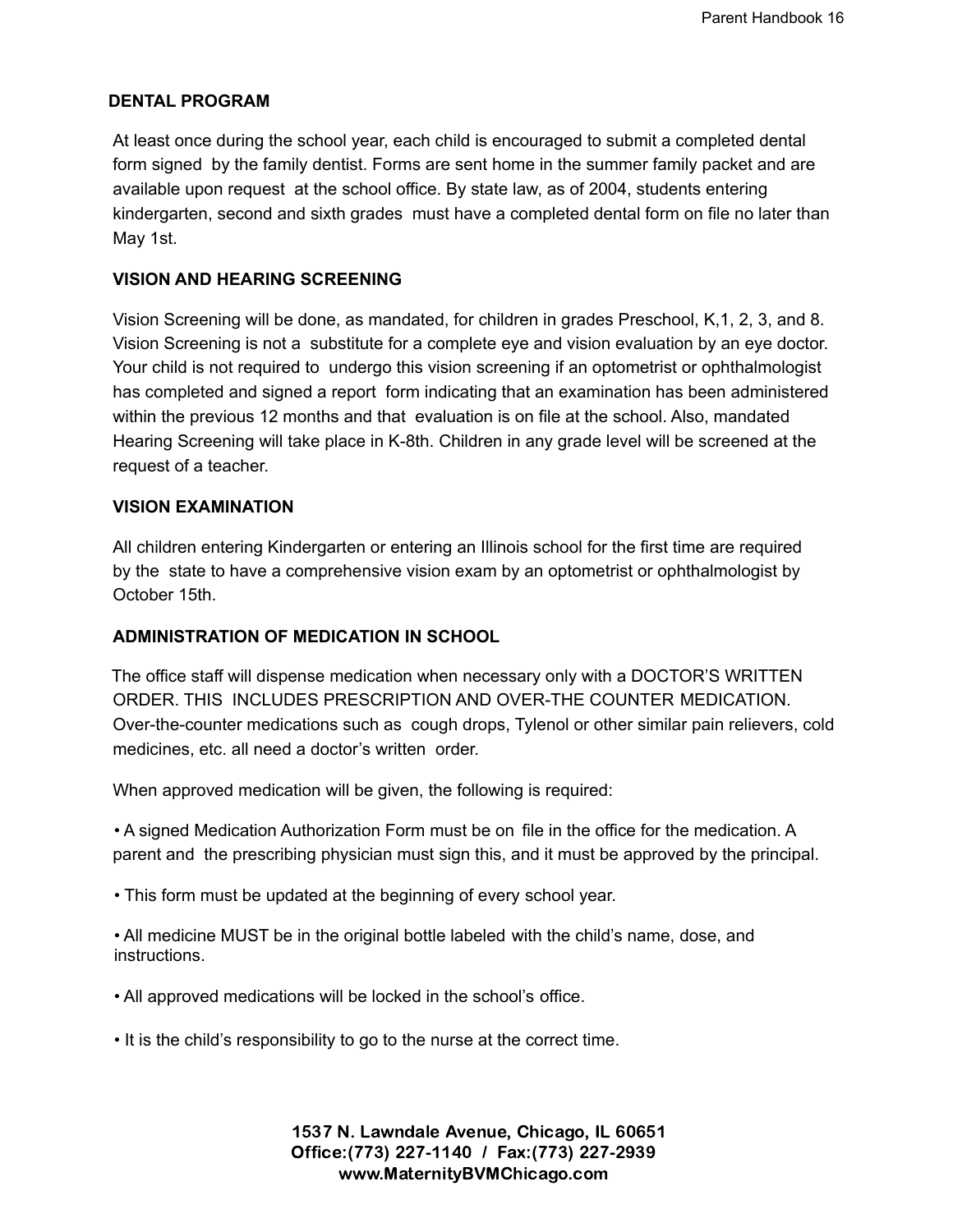# **DENTAL PROGRAM**

At least once during the school year, each child is encouraged to submit a completed dental form signed by the family dentist. Forms are sent home in the summer family packet and are available upon request at the school office. By state law, as of 2004, students entering kindergarten, second and sixth grades must have a completed dental form on file no later than May 1st.

#### **VISION AND HEARING SCREENING**

Vision Screening will be done, as mandated, for children in grades Preschool, K,1, 2, 3, and 8. Vision Screening is not a substitute for a complete eye and vision evaluation by an eye doctor. Your child is not required to undergo this vision screening if an optometrist or ophthalmologist has completed and signed a report form indicating that an examination has been administered within the previous 12 months and that evaluation is on file at the school. Also, mandated Hearing Screening will take place in K-8th. Children in any grade level will be screened at the request of a teacher.

# **VISION EXAMINATION**

All children entering Kindergarten or entering an Illinois school for the first time are required by the state to have a comprehensive vision exam by an optometrist or ophthalmologist by October 15th.

#### **ADMINISTRATION OF MEDICATION IN SCHOOL**

The office staff will dispense medication when necessary only with a DOCTOR'S WRITTEN ORDER. THIS INCLUDES PRESCRIPTION AND OVER-THE COUNTER MEDICATION. Over-the-counter medications such as cough drops, Tylenol or other similar pain relievers, cold medicines, etc. all need a doctor's written order.

When approved medication will be given, the following is required:

• A signed Medication Authorization Form must be on file in the office for the medication. A parent and the prescribing physician must sign this, and it must be approved by the principal.

- This form must be updated at the beginning of every school year.
- All medicine MUST be in the original bottle labeled with the child's name, dose, and instructions.
- All approved medications will be locked in the school's office.
- It is the child's responsibility to go to the nurse at the correct time.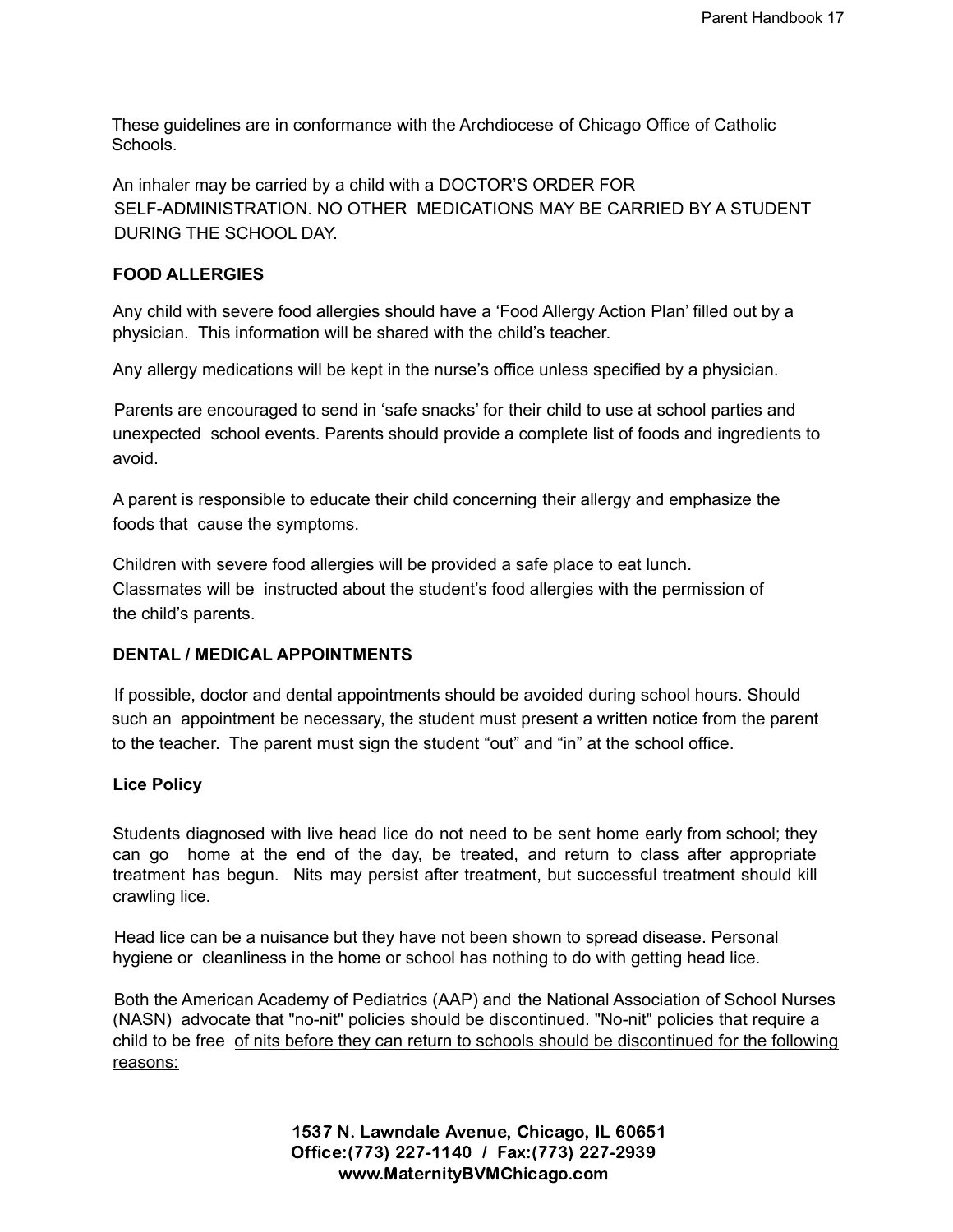These guidelines are in conformance with the Archdiocese of Chicago Office of Catholic **Schools** 

An inhaler may be carried by a child with a DOCTOR'S ORDER FOR SELF-ADMINISTRATION. NO OTHER MEDICATIONS MAY BE CARRIED BY A STUDENT DURING THE SCHOOL DAY.

## **FOOD ALLERGIES**

Any child with severe food allergies should have a 'Food Allergy Action Plan' filled out by a physician. This information will be shared with the child's teacher.

Any allergy medications will be kept in the nurse's office unless specified by a physician.

Parents are encouraged to send in 'safe snacks' for their child to use at school parties and unexpected school events. Parents should provide a complete list of foods and ingredients to avoid.

A parent is responsible to educate their child concerning their allergy and emphasize the foods that cause the symptoms.

Children with severe food allergies will be provided a safe place to eat lunch. Classmates will be instructed about the student's food allergies with the permission of the child's parents.

# **DENTAL / MEDICAL APPOINTMENTS**

If possible, doctor and dental appointments should be avoided during school hours. Should such an appointment be necessary, the student must present a written notice from the parent to the teacher. The parent must sign the student "out" and "in" at the school office.

#### **Lice Policy**

Students diagnosed with live head lice do not need to be sent home early from school; they can go home at the end of the day, be treated, and return to class after appropriate treatment has begun. Nits may persist after treatment, but successful treatment should kill crawling lice.

Head lice can be a nuisance but they have not been shown to spread disease. Personal hygiene or cleanliness in the home or school has nothing to do with getting head lice.

Both the American Academy of Pediatrics (AAP) and the National Association of School Nurses (NASN) advocate that "no-nit" policies should be discontinued. "No-nit" policies that require a child to be free of nits before they can return to schools should be discontinued for the following reasons: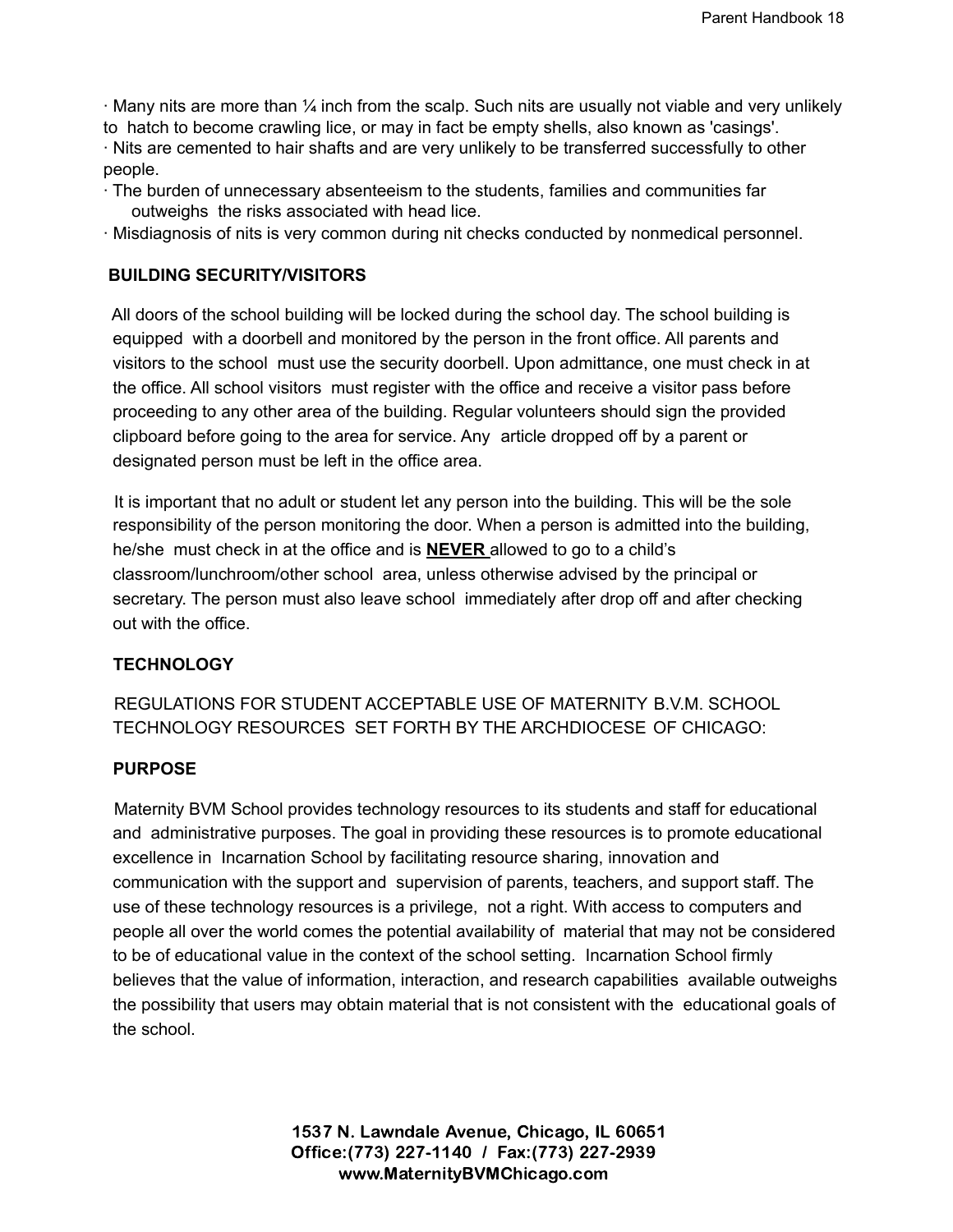∙ Many nits are more than ¼ inch from the scalp. Such nits are usually not viable and very unlikely to hatch to become crawling lice, or may in fact be empty shells, also known as 'casings'. ∙ Nits are cemented to hair shafts and are very unlikely to be transferred successfully to other people.

- ∙ The burden of unnecessary absenteeism to the students, families and communities far outweighs the risks associated with head lice.
- ∙ Misdiagnosis of nits is very common during nit checks conducted by nonmedical personnel.

# **BUILDING SECURITY/VISITORS**

All doors of the school building will be locked during the school day. The school building is equipped with a doorbell and monitored by the person in the front office. All parents and visitors to the school must use the security doorbell. Upon admittance, one must check in at the office. All school visitors must register with the office and receive a visitor pass before proceeding to any other area of the building. Regular volunteers should sign the provided clipboard before going to the area for service. Any article dropped off by a parent or designated person must be left in the office area.

It is important that no adult or student let any person into the building. This will be the sole responsibility of the person monitoring the door. When a person is admitted into the building, he/she must check in at the office and is **NEVER** allowed to go to a child's classroom/lunchroom/other school area, unless otherwise advised by the principal or secretary. The person must also leave school immediately after drop off and after checking out with the office.

#### **TECHNOLOGY**

REGULATIONS FOR STUDENT ACCEPTABLE USE OF MATERNITY B.V.M. SCHOOL TECHNOLOGY RESOURCES SET FORTH BY THE ARCHDIOCESE OF CHICAGO:

#### **PURPOSE**

Maternity BVM School provides technology resources to its students and staff for educational and administrative purposes. The goal in providing these resources is to promote educational excellence in Incarnation School by facilitating resource sharing, innovation and communication with the support and supervision of parents, teachers, and support staff. The use of these technology resources is a privilege, not a right. With access to computers and people all over the world comes the potential availability of material that may not be considered to be of educational value in the context of the school setting. Incarnation School firmly believes that the value of information, interaction, and research capabilities available outweighs the possibility that users may obtain material that is not consistent with the educational goals of the school.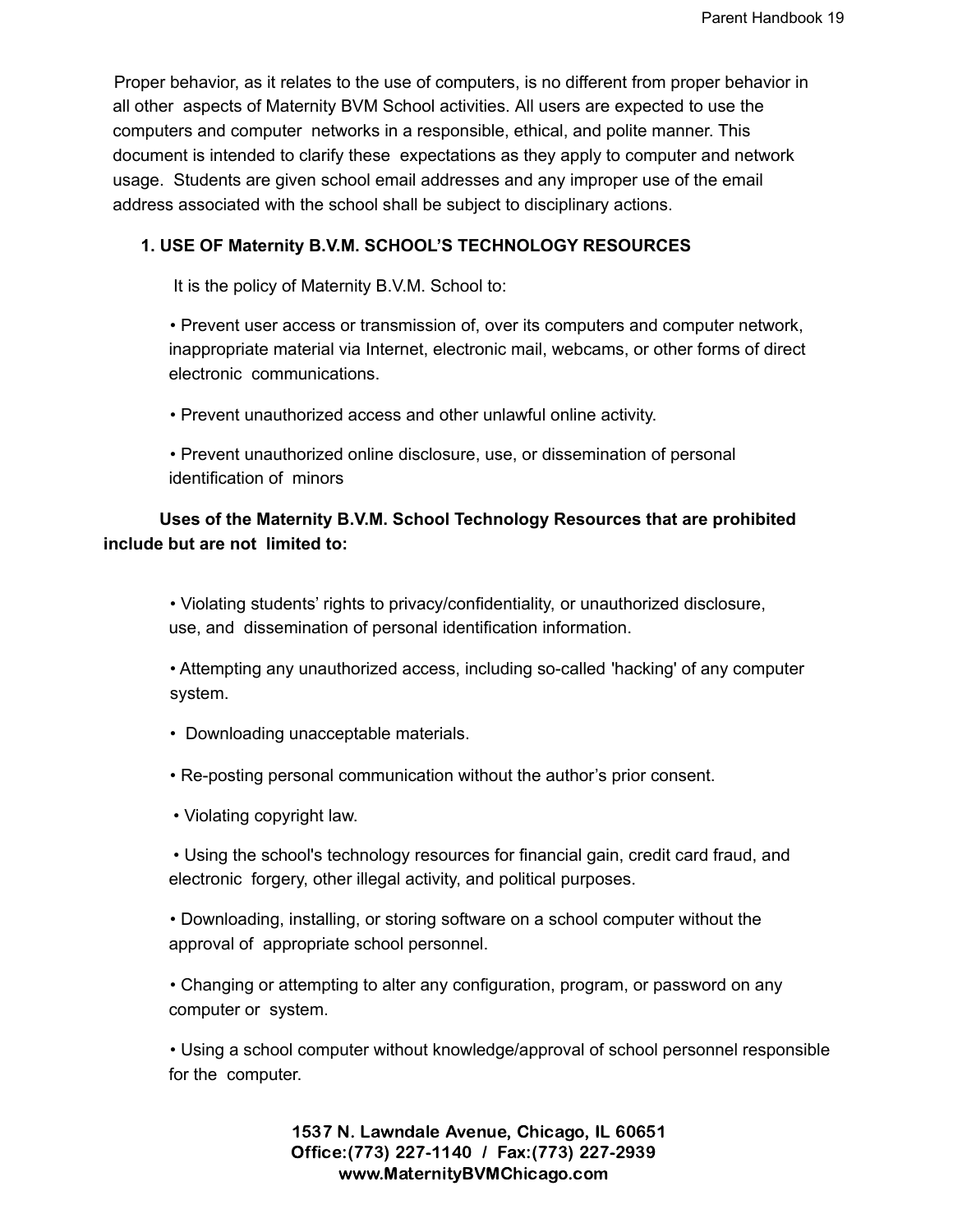Proper behavior, as it relates to the use of computers, is no different from proper behavior in all other aspects of Maternity BVM School activities. All users are expected to use the computers and computer networks in a responsible, ethical, and polite manner. This document is intended to clarify these expectations as they apply to computer and network usage. Students are given school email addresses and any improper use of the email address associated with the school shall be subject to disciplinary actions.

# **1. USE OF Maternity B.V.M. SCHOOL'S TECHNOLOGY RESOURCES**

It is the policy of Maternity B.V.M. School to:

• Prevent user access or transmission of, over its computers and computer network, inappropriate material via Internet, electronic mail, webcams, or other forms of direct electronic communications.

• Prevent unauthorized access and other unlawful online activity.

• Prevent unauthorized online disclosure, use, or dissemination of personal identification of minors

# **Uses of the Maternity B.V.M. School Technology Resources that are prohibited include but are not limited to:**

• Violating students' rights to privacy/confidentiality, or unauthorized disclosure, use, and dissemination of personal identification information.

• Attempting any unauthorized access, including so-called 'hacking' of any computer system.

• Downloading unacceptable materials.

• Re-posting personal communication without the author's prior consent.

• Violating copyright law.

• Using the school's technology resources for financial gain, credit card fraud, and electronic forgery, other illegal activity, and political purposes.

• Downloading, installing, or storing software on a school computer without the approval of appropriate school personnel.

• Changing or attempting to alter any configuration, program, or password on any computer or system.

• Using a school computer without knowledge/approval of school personnel responsible for the computer.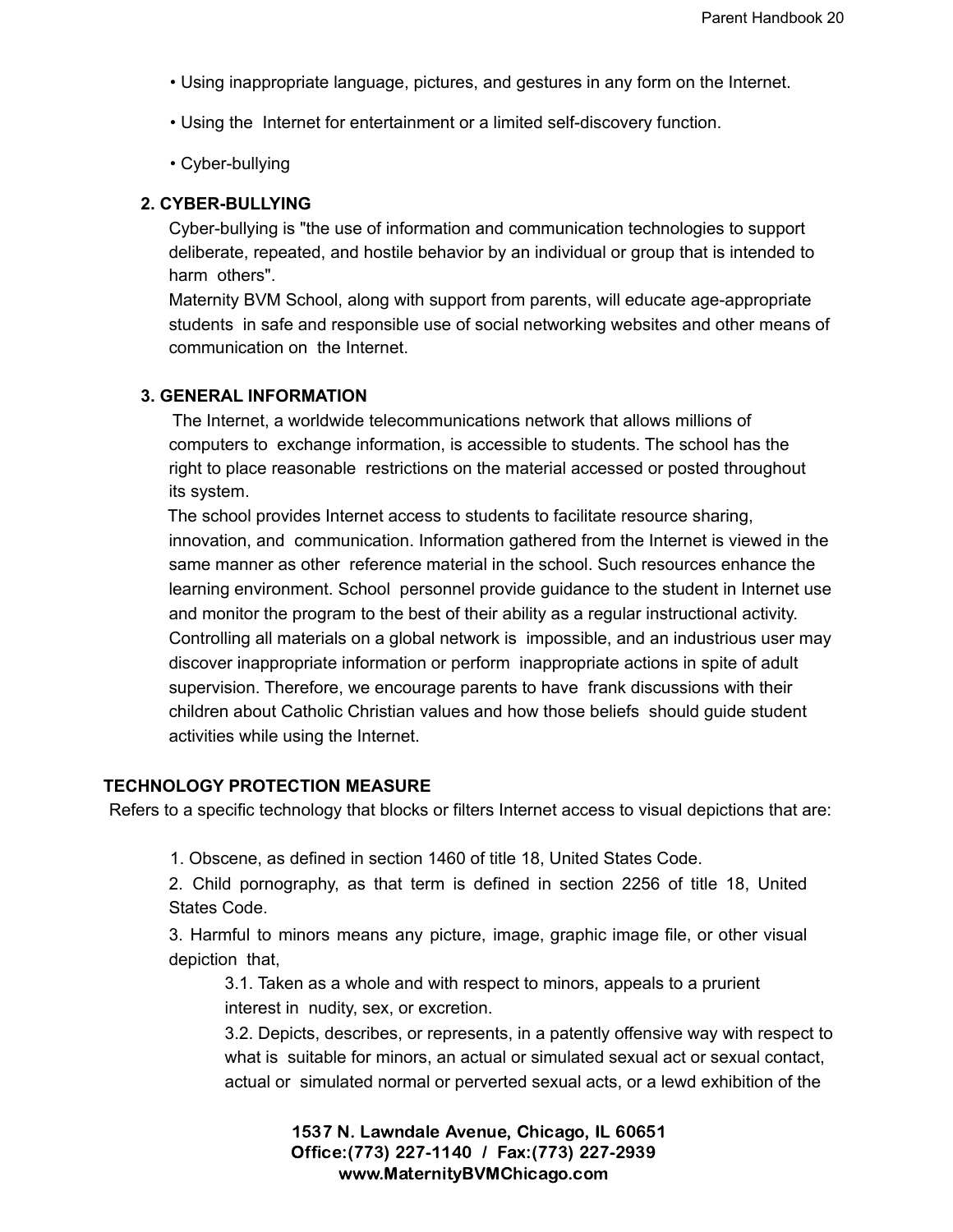- Using inappropriate language, pictures, and gestures in any form on the Internet.
- Using the Internet for entertainment or a limited self-discovery function.
- Cyber-bullying

# **2. CYBER-BULLYING**

Cyber-bullying is "the use of information and communication technologies to support deliberate, repeated, and hostile behavior by an individual or group that is intended to harm others".

Maternity BVM School, along with support from parents, will educate age-appropriate students in safe and responsible use of social networking websites and other means of communication on the Internet.

# **3. GENERAL INFORMATION**

The Internet, a worldwide telecommunications network that allows millions of computers to exchange information, is accessible to students. The school has the right to place reasonable restrictions on the material accessed or posted throughout its system.

The school provides Internet access to students to facilitate resource sharing, innovation, and communication. Information gathered from the Internet is viewed in the same manner as other reference material in the school. Such resources enhance the learning environment. School personnel provide guidance to the student in Internet use and monitor the program to the best of their ability as a regular instructional activity. Controlling all materials on a global network is impossible, and an industrious user may discover inappropriate information or perform inappropriate actions in spite of adult supervision. Therefore, we encourage parents to have frank discussions with their children about Catholic Christian values and how those beliefs should guide student activities while using the Internet.

#### **TECHNOLOGY PROTECTION MEASURE**

Refers to a specific technology that blocks or filters Internet access to visual depictions that are:

1. Obscene, as defined in section 1460 of title 18, United States Code.

2. Child pornography, as that term is defined in section 2256 of title 18, United States Code.

3. Harmful to minors means any picture, image, graphic image file, or other visual depiction that,

3.1. Taken as a whole and with respect to minors, appeals to a prurient interest in nudity, sex, or excretion.

3.2. Depicts, describes, or represents, in a patently offensive way with respect to what is suitable for minors, an actual or simulated sexual act or sexual contact, actual or simulated normal or perverted sexual acts, or a lewd exhibition of the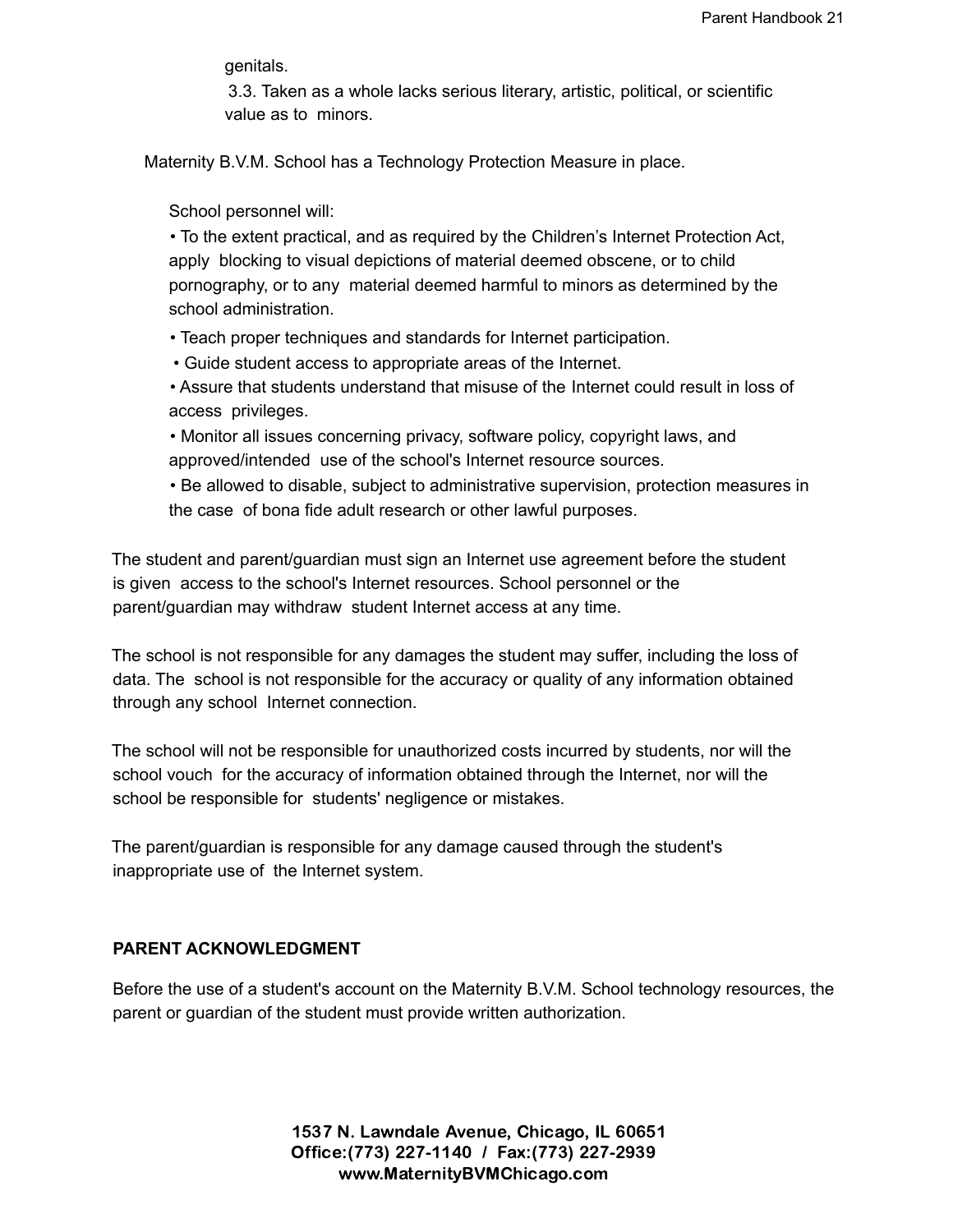genitals.

3.3. Taken as a whole lacks serious literary, artistic, political, or scientific value as to minors.

Maternity B.V.M. School has a Technology Protection Measure in place.

School personnel will:

• To the extent practical, and as required by the Children's Internet Protection Act, apply blocking to visual depictions of material deemed obscene, or to child pornography, or to any material deemed harmful to minors as determined by the school administration.

• Teach proper techniques and standards for Internet participation.

• Guide student access to appropriate areas of the Internet.

• Assure that students understand that misuse of the Internet could result in loss of access privileges.

• Monitor all issues concerning privacy, software policy, copyright laws, and approved/intended use of the school's Internet resource sources.

• Be allowed to disable, subject to administrative supervision, protection measures in the case of bona fide adult research or other lawful purposes.

The student and parent/guardian must sign an Internet use agreement before the student is given access to the school's Internet resources. School personnel or the parent/guardian may withdraw student Internet access at any time.

The school is not responsible for any damages the student may suffer, including the loss of data. The school is not responsible for the accuracy or quality of any information obtained through any school Internet connection.

The school will not be responsible for unauthorized costs incurred by students, nor will the school vouch for the accuracy of information obtained through the Internet, nor will the school be responsible for students' negligence or mistakes.

The parent/guardian is responsible for any damage caused through the student's inappropriate use of the Internet system.

#### **PARENT ACKNOWLEDGMENT**

Before the use of a student's account on the Maternity B.V.M. School technology resources, the parent or guardian of the student must provide written authorization.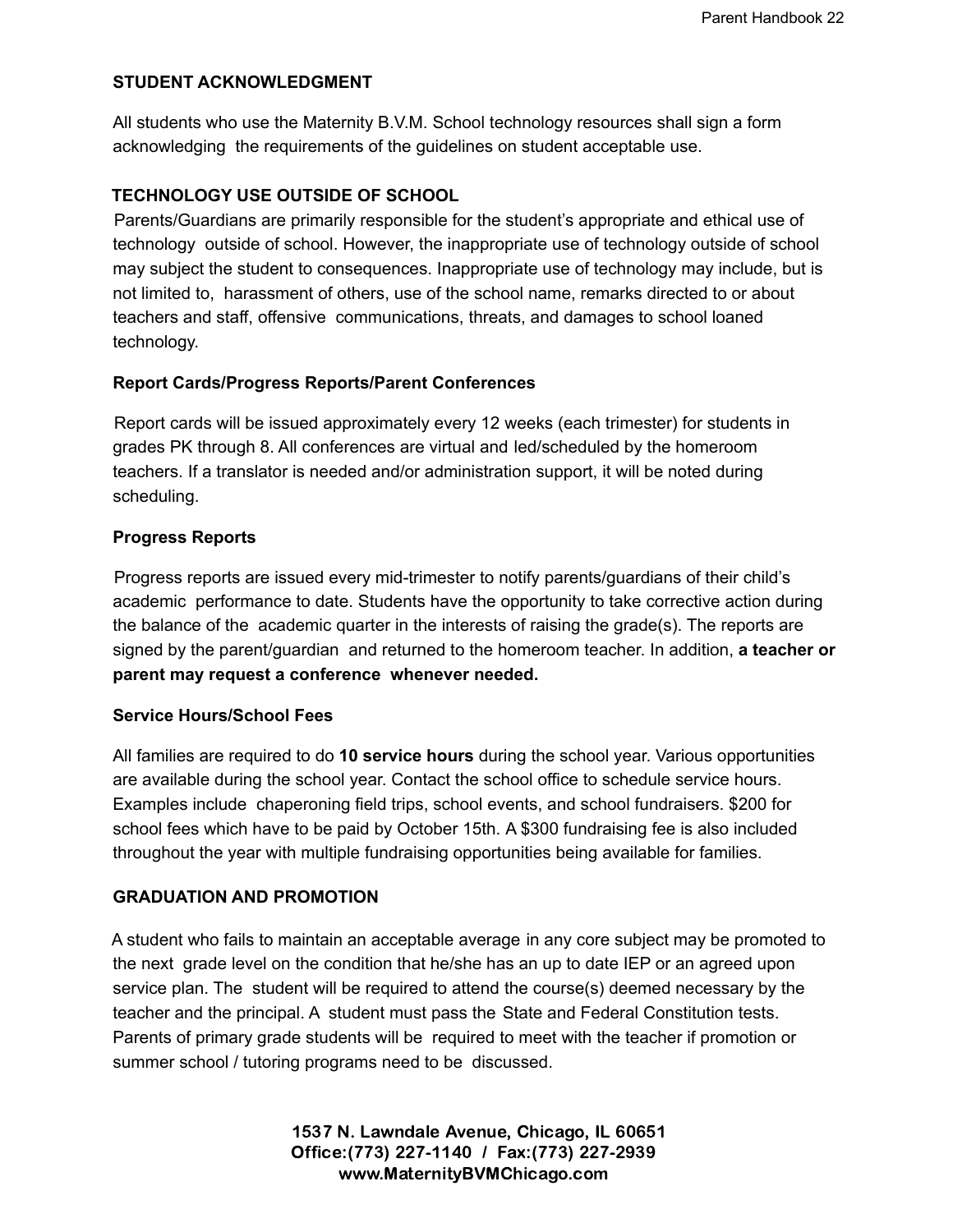## **STUDENT ACKNOWLEDGMENT**

All students who use the Maternity B.V.M. School technology resources shall sign a form acknowledging the requirements of the guidelines on student acceptable use.

# **TECHNOLOGY USE OUTSIDE OF SCHOOL**

Parents/Guardians are primarily responsible for the student's appropriate and ethical use of technology outside of school. However, the inappropriate use of technology outside of school may subject the student to consequences. Inappropriate use of technology may include, but is not limited to, harassment of others, use of the school name, remarks directed to or about teachers and staff, offensive communications, threats, and damages to school loaned technology.

#### **Report Cards/Progress Reports/Parent Conferences**

Report cards will be issued approximately every 12 weeks (each trimester) for students in grades PK through 8. All conferences are virtual and led/scheduled by the homeroom teachers. If a translator is needed and/or administration support, it will be noted during scheduling.

#### **Progress Reports**

Progress reports are issued every mid-trimester to notify parents/guardians of their child's academic performance to date. Students have the opportunity to take corrective action during the balance of the academic quarter in the interests of raising the grade(s). The reports are signed by the parent/guardian and returned to the homeroom teacher. In addition, **a teacher or parent may request a conference whenever needed.**

#### **Service Hours/School Fees**

All families are required to do **10 service hours** during the school year. Various opportunities are available during the school year. Contact the school office to schedule service hours. Examples include chaperoning field trips, school events, and school fundraisers. \$200 for school fees which have to be paid by October 15th. A \$300 fundraising fee is also included throughout the year with multiple fundraising opportunities being available for families.

#### **GRADUATION AND PROMOTION**

A student who fails to maintain an acceptable average in any core subject may be promoted to the next grade level on the condition that he/she has an up to date IEP or an agreed upon service plan. The student will be required to attend the course(s) deemed necessary by the teacher and the principal. A student must pass the State and Federal Constitution tests. Parents of primary grade students will be required to meet with the teacher if promotion or summer school / tutoring programs need to be discussed.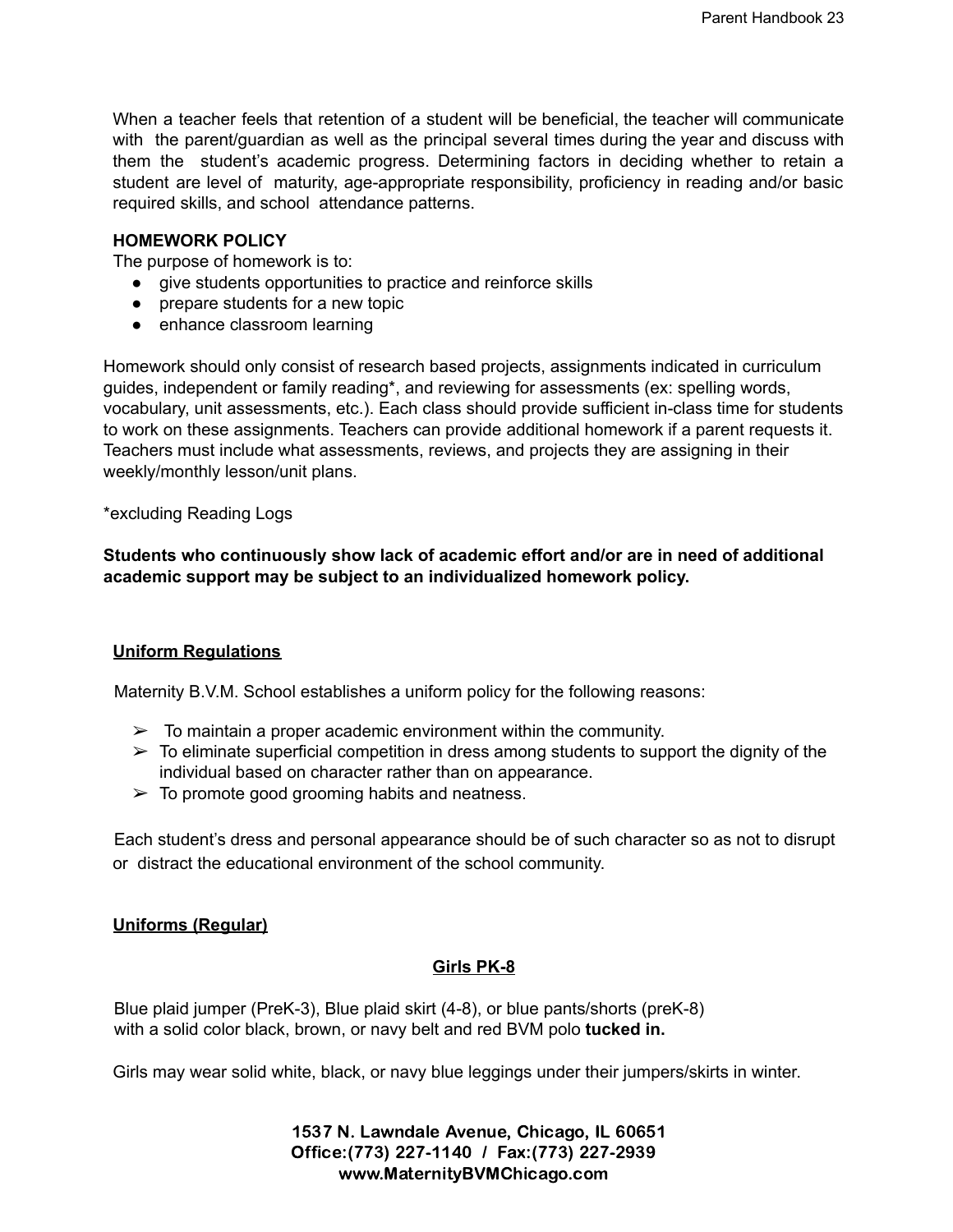When a teacher feels that retention of a student will be beneficial, the teacher will communicate with the parent/guardian as well as the principal several times during the year and discuss with them the student's academic progress. Determining factors in deciding whether to retain a student are level of maturity, age-appropriate responsibility, proficiency in reading and/or basic required skills, and school attendance patterns.

#### **HOMEWORK POLICY**

The purpose of homework is to:

- give students opportunities to practice and reinforce skills
- prepare students for a new topic
- enhance classroom learning

Homework should only consist of research based projects, assignments indicated in curriculum guides, independent or family reading\*, and reviewing for assessments (ex: spelling words, vocabulary, unit assessments, etc.). Each class should provide sufficient in-class time for students to work on these assignments. Teachers can provide additional homework if a parent requests it. Teachers must include what assessments, reviews, and projects they are assigning in their weekly/monthly lesson/unit plans.

\*excluding Reading Logs

**Students who continuously show lack of academic effort and/or are in need of additional academic support may be subject to an individualized homework policy.**

# **Uniform Regulations**

Maternity B.V.M. School establishes a uniform policy for the following reasons:

- $\geq$  To maintain a proper academic environment within the community.
- $\triangleright$  To eliminate superficial competition in dress among students to support the dignity of the individual based on character rather than on appearance.
- $\geq$  To promote good grooming habits and neatness.

Each student's dress and personal appearance should be of such character so as not to disrupt or distract the educational environment of the school community.

# **Uniforms (Regular)**

# **Girls PK-8**

Blue plaid jumper (PreK-3), Blue plaid skirt (4-8), or blue pants/shorts (preK-8) with a solid color black, brown, or navy belt and red BVM polo **tucked in.**

Girls may wear solid white, black, or navy blue leggings under their jumpers/skirts in winter.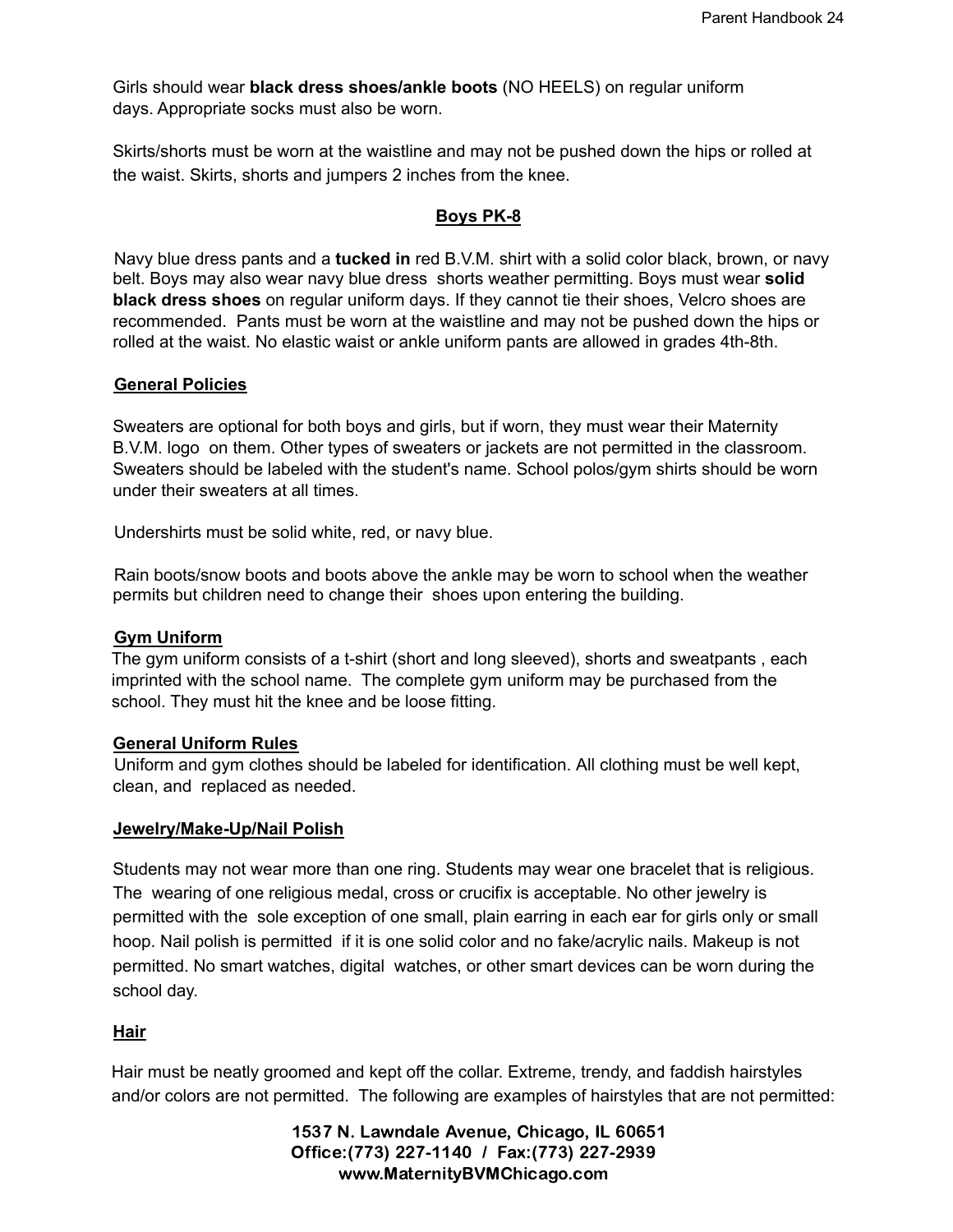Girls should wear **black dress shoes/ankle boots** (NO HEELS) on regular uniform days. Appropriate socks must also be worn.

Skirts/shorts must be worn at the waistline and may not be pushed down the hips or rolled at the waist. Skirts, shorts and jumpers 2 inches from the knee.

# **Boys PK-8**

Navy blue dress pants and a **tucked in** red B.V.M. shirt with a solid color black, brown, or navy belt. Boys may also wear navy blue dress shorts weather permitting. Boys must wear **solid black dress shoes** on regular uniform days. If they cannot tie their shoes, Velcro shoes are recommended. Pants must be worn at the waistline and may not be pushed down the hips or rolled at the waist. No elastic waist or ankle uniform pants are allowed in grades 4th-8th.

#### **General Policies**

Sweaters are optional for both boys and girls, but if worn, they must wear their Maternity B.V.M. logo on them. Other types of sweaters or jackets are not permitted in the classroom. Sweaters should be labeled with the student's name. School polos/gym shirts should be worn under their sweaters at all times.

Undershirts must be solid white, red, or navy blue.

Rain boots/snow boots and boots above the ankle may be worn to school when the weather permits but children need to change their shoes upon entering the building.

#### **Gym Uniform**

The gym uniform consists of a t-shirt (short and long sleeved), shorts and sweatpants , each imprinted with the school name. The complete gym uniform may be purchased from the school. They must hit the knee and be loose fitting.

#### **General Uniform Rules**

Uniform and gym clothes should be labeled for identification. All clothing must be well kept, clean, and replaced as needed.

#### **Jewelry/Make-Up/Nail Polish**

Students may not wear more than one ring. Students may wear one bracelet that is religious. The wearing of one religious medal, cross or crucifix is acceptable. No other jewelry is permitted with the sole exception of one small, plain earring in each ear for girls only or small hoop. Nail polish is permitted if it is one solid color and no fake/acrylic nails. Makeup is not permitted. No smart watches, digital watches, or other smart devices can be worn during the school day.

# **Hair**

Hair must be neatly groomed and kept off the collar. Extreme, trendy, and faddish hairstyles and/or colors are not permitted. The following are examples of hairstyles that are not permitted: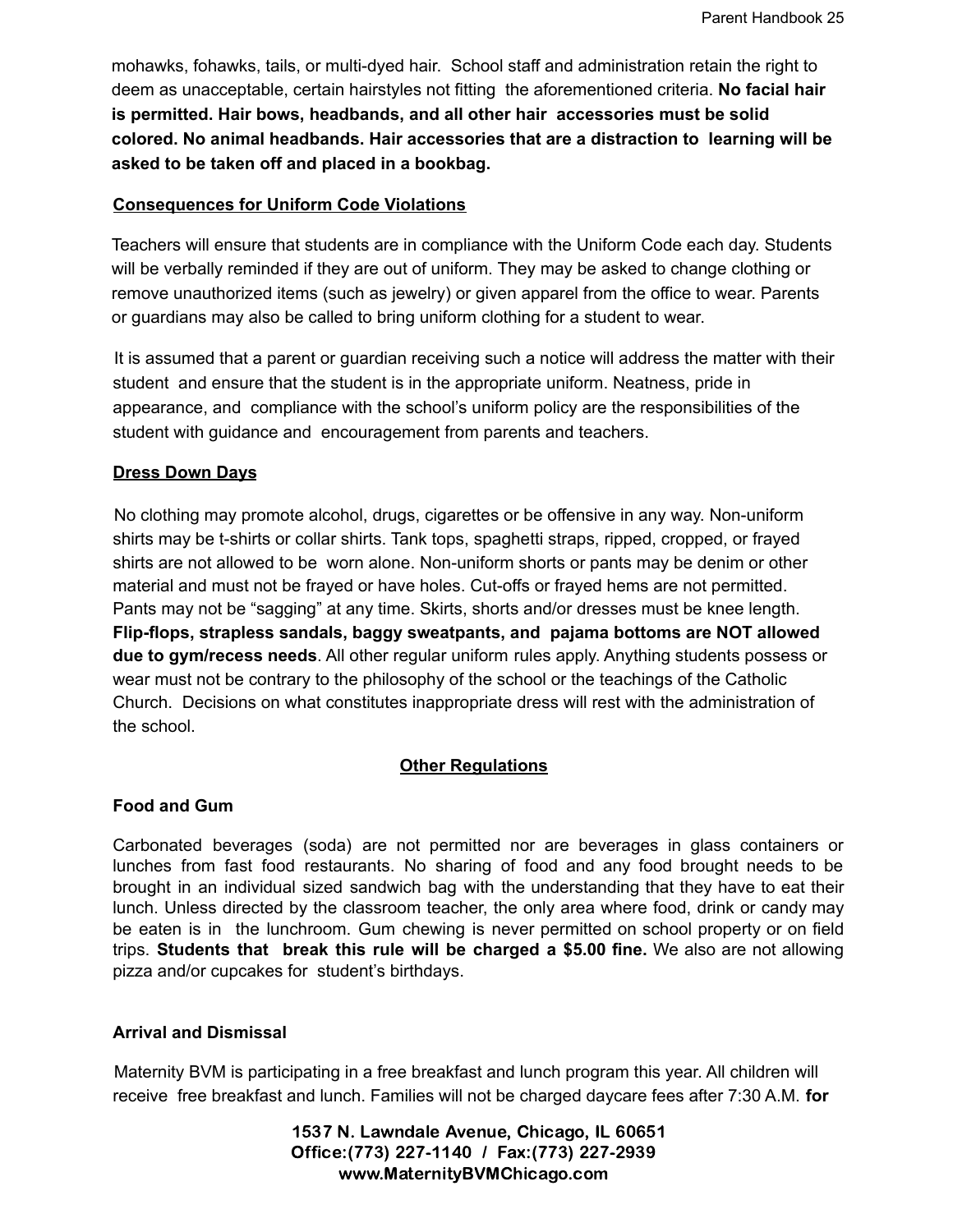mohawks, fohawks, tails, or multi-dyed hair. School staff and administration retain the right to deem as unacceptable, certain hairstyles not fitting the aforementioned criteria. **No facial hair is permitted. Hair bows, headbands, and all other hair accessories must be solid colored. No animal headbands. Hair accessories that are a distraction to learning will be asked to be taken off and placed in a bookbag.**

#### **Consequences for Uniform Code Violations**

Teachers will ensure that students are in compliance with the Uniform Code each day. Students will be verbally reminded if they are out of uniform. They may be asked to change clothing or remove unauthorized items (such as jewelry) or given apparel from the office to wear. Parents or guardians may also be called to bring uniform clothing for a student to wear.

It is assumed that a parent or guardian receiving such a notice will address the matter with their student and ensure that the student is in the appropriate uniform. Neatness, pride in appearance, and compliance with the school's uniform policy are the responsibilities of the student with guidance and encouragement from parents and teachers.

# **Dress Down Days**

No clothing may promote alcohol, drugs, cigarettes or be offensive in any way. Non-uniform shirts may be t-shirts or collar shirts. Tank tops, spaghetti straps, ripped, cropped, or frayed shirts are not allowed to be worn alone. Non-uniform shorts or pants may be denim or other material and must not be frayed or have holes. Cut-offs or frayed hems are not permitted. Pants may not be "sagging" at any time. Skirts, shorts and/or dresses must be knee length. **Flip-flops, strapless sandals, baggy sweatpants, and pajama bottoms are NOT allowed due to gym/recess needs**. All other regular uniform rules apply. Anything students possess or wear must not be contrary to the philosophy of the school or the teachings of the Catholic Church. Decisions on what constitutes inappropriate dress will rest with the administration of the school.

# **Other Regulations**

# **Food and Gum**

Carbonated beverages (soda) are not permitted nor are beverages in glass containers or lunches from fast food restaurants. No sharing of food and any food brought needs to be brought in an individual sized sandwich bag with the understanding that they have to eat their lunch. Unless directed by the classroom teacher, the only area where food, drink or candy may be eaten is in the lunchroom. Gum chewing is never permitted on school property or on field trips. **Students that break this rule will be charged a \$5.00 fine.** We also are not allowing pizza and/or cupcakes for student's birthdays.

# **Arrival and Dismissal**

Maternity BVM is participating in a free breakfast and lunch program this year. All children will receive free breakfast and lunch. Families will not be charged daycare fees after 7:30 A.M. **for**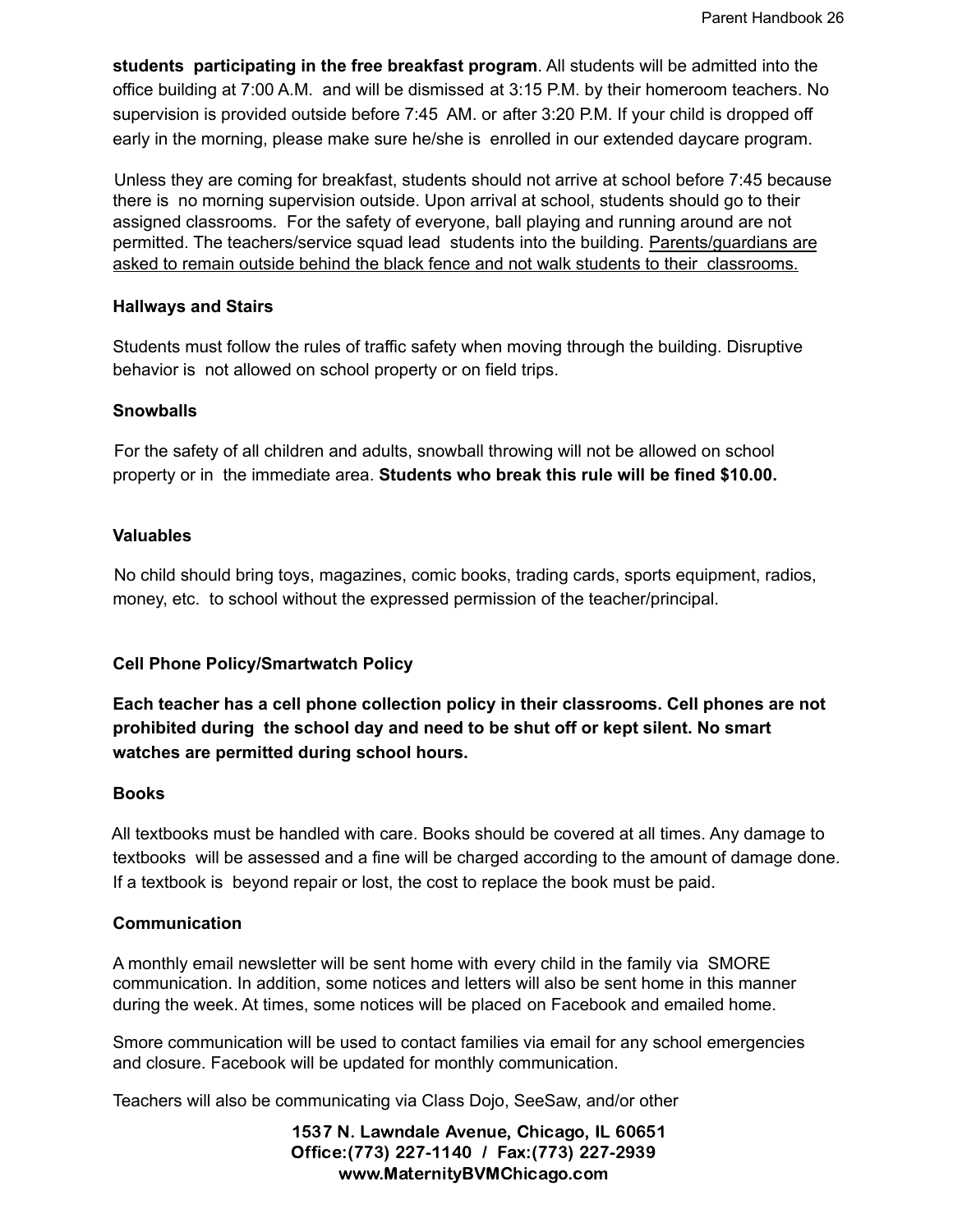**students participating in the free breakfast program**. All students will be admitted into the office building at 7:00 A.M. and will be dismissed at 3:15 P.M. by their homeroom teachers. No supervision is provided outside before 7:45 AM. or after 3:20 P.M. If your child is dropped off early in the morning, please make sure he/she is enrolled in our extended daycare program.

Unless they are coming for breakfast, students should not arrive at school before 7:45 because there is no morning supervision outside. Upon arrival at school, students should go to their assigned classrooms. For the safety of everyone, ball playing and running around are not permitted. The teachers/service squad lead students into the building. Parents/guardians are asked to remain outside behind the black fence and not walk students to their classrooms.

# **Hallways and Stairs**

Students must follow the rules of traffic safety when moving through the building. Disruptive behavior is not allowed on school property or on field trips.

# **Snowballs**

For the safety of all children and adults, snowball throwing will not be allowed on school property or in the immediate area. **Students who break this rule will be fined \$10.00.**

# **Valuables**

No child should bring toys, magazines, comic books, trading cards, sports equipment, radios, money, etc. to school without the expressed permission of the teacher/principal.

# **Cell Phone Policy/Smartwatch Policy**

**Each teacher has a cell phone collection policy in their classrooms. Cell phones are not prohibited during the school day and need to be shut off or kept silent. No smart watches are permitted during school hours.**

#### **Books**

All textbooks must be handled with care. Books should be covered at all times. Any damage to textbooks will be assessed and a fine will be charged according to the amount of damage done. If a textbook is beyond repair or lost, the cost to replace the book must be paid.

# **Communication**

A monthly email newsletter will be sent home with every child in the family via SMORE communication. In addition, some notices and letters will also be sent home in this manner during the week. At times, some notices will be placed on Facebook and emailed home.

Smore communication will be used to contact families via email for any school emergencies and closure. Facebook will be updated for monthly communication.

Teachers will also be communicating via Class Dojo, SeeSaw, and/or other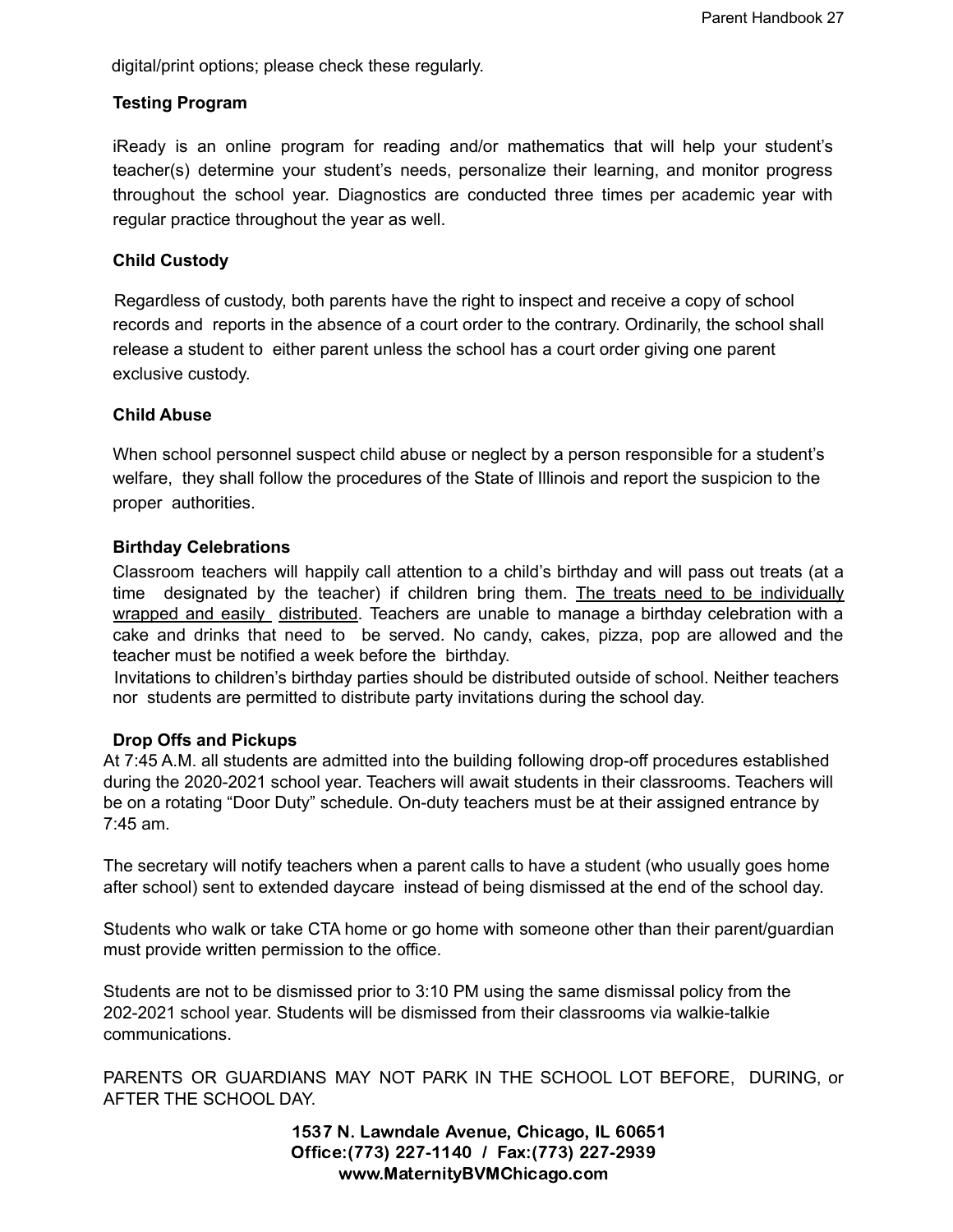digital/print options; please check these regularly.

# **Testing Program**

iReady is an online program for reading and/or mathematics that will help your student's teacher(s) determine your student's needs, personalize their learning, and monitor progress throughout the school year. Diagnostics are conducted three times per academic year with regular practice throughout the year as well.

# **Child Custody**

Regardless of custody, both parents have the right to inspect and receive a copy of school records and reports in the absence of a court order to the contrary. Ordinarily, the school shall release a student to either parent unless the school has a court order giving one parent exclusive custody.

#### **Child Abuse**

When school personnel suspect child abuse or neglect by a person responsible for a student's welfare, they shall follow the procedures of the State of Illinois and report the suspicion to the proper authorities.

# **Birthday Celebrations**

Classroom teachers will happily call attention to a child's birthday and will pass out treats (at a time designated by the teacher) if children bring them. The treats need to be individually wrapped and easily distributed. Teachers are unable to manage a birthday celebration with a cake and drinks that need to be served. No candy, cakes, pizza, pop are allowed and the teacher must be notified a week before the birthday.

Invitations to children's birthday parties should be distributed outside of school. Neither teachers nor students are permitted to distribute party invitations during the school day.

#### **Drop Offs and Pickups**

At 7:45 A.M. all students are admitted into the building following drop-off procedures established during the 2020-2021 school year. Teachers will await students in their classrooms. Teachers will be on a rotating "Door Duty" schedule. On-duty teachers must be at their assigned entrance by 7:45 am.

The secretary will notify teachers when a parent calls to have a student (who usually goes home after school) sent to extended daycare instead of being dismissed at the end of the school day.

Students who walk or take CTA home or go home with someone other than their parent/guardian must provide written permission to the office.

Students are not to be dismissed prior to 3:10 PM using the same dismissal policy from the 202-2021 school year. Students will be dismissed from their classrooms via walkie-talkie communications.

PARENTS OR GUARDIANS MAY NOT PARK IN THE SCHOOL LOT BEFORE, DURING, or AFTER THE SCHOOL DAY.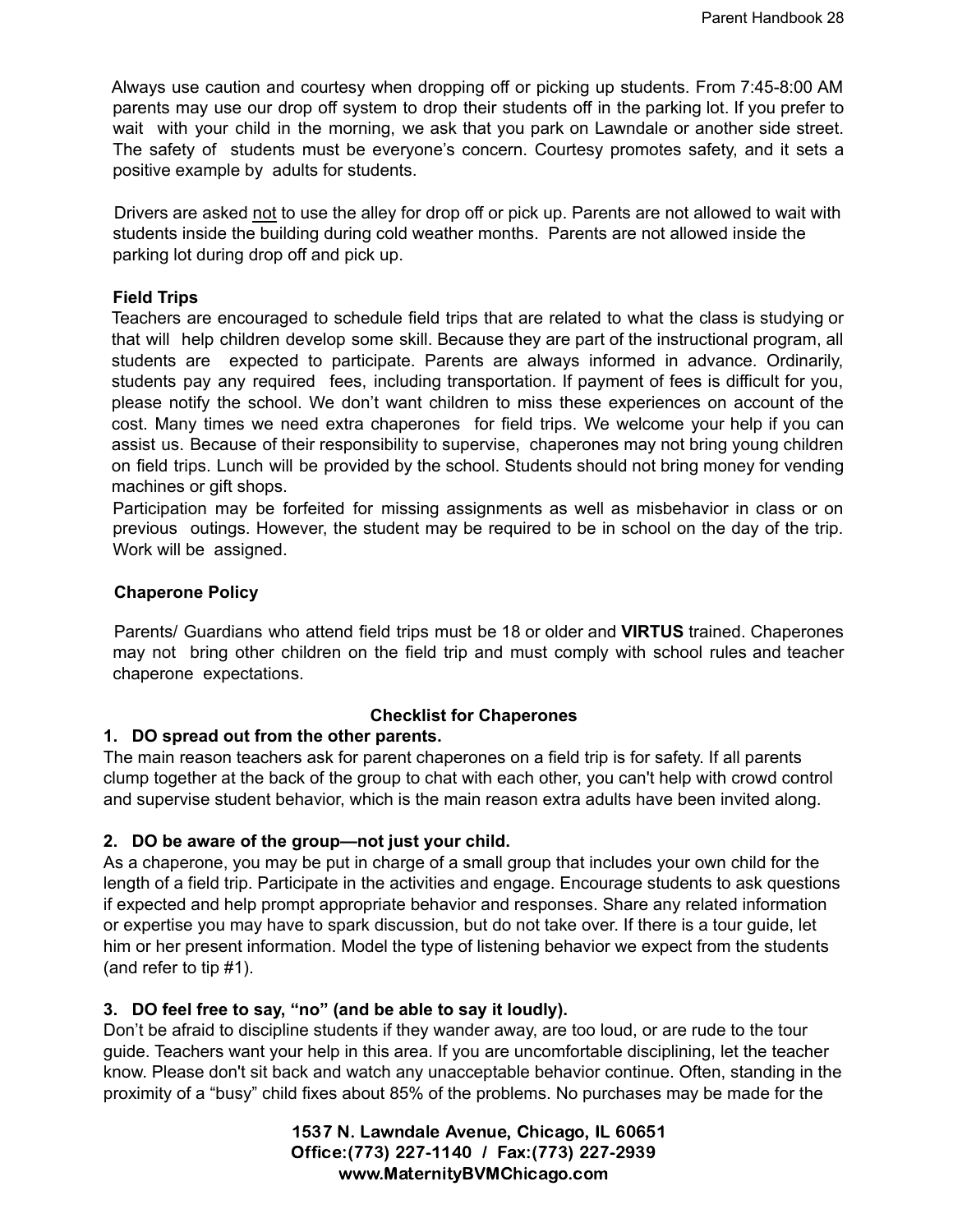Always use caution and courtesy when dropping off or picking up students. From 7:45-8:00 AM parents may use our drop off system to drop their students off in the parking lot. If you prefer to wait with your child in the morning, we ask that you park on Lawndale or another side street. The safety of students must be everyone's concern. Courtesy promotes safety, and it sets a positive example by adults for students.

Drivers are asked not to use the alley for drop off or pick up. Parents are not allowed to wait with students inside the building during cold weather months. Parents are not allowed inside the parking lot during drop off and pick up.

#### **Field Trips**

Teachers are encouraged to schedule field trips that are related to what the class is studying or that will help children develop some skill. Because they are part of the instructional program, all students are expected to participate. Parents are always informed in advance. Ordinarily, students pay any required fees, including transportation. If payment of fees is difficult for you, please notify the school. We don't want children to miss these experiences on account of the cost. Many times we need extra chaperones for field trips. We welcome your help if you can assist us. Because of their responsibility to supervise, chaperones may not bring young children on field trips. Lunch will be provided by the school. Students should not bring money for vending machines or gift shops.

Participation may be forfeited for missing assignments as well as misbehavior in class or on previous outings. However, the student may be required to be in school on the day of the trip. Work will be assigned.

# **Chaperone Policy**

Parents/ Guardians who attend field trips must be 18 or older and **VIRTUS** trained. Chaperones may not bring other children on the field trip and must comply with school rules and teacher chaperone expectations.

# **Checklist for Chaperones**

# **1. DO spread out from the other parents.**

The main reason teachers ask for parent chaperones on a field trip is for safety. If all parents clump together at the back of the group to chat with each other, you can't help with crowd control and supervise student behavior, which is the main reason extra adults have been invited along.

# **2. DO be aware of the group—not just your child.**

As a chaperone, you may be put in charge of a small group that includes your own child for the length of a field trip. Participate in the activities and engage. Encourage students to ask questions if expected and help prompt appropriate behavior and responses. Share any related information or expertise you may have to spark discussion, but do not take over. If there is a tour guide, let him or her present information. Model the type of listening behavior we expect from the students (and refer to tip #1).

# **3. DO feel free to say, "no" (and be able to say it loudly).**

Don't be afraid to discipline students if they wander away, are too loud, or are rude to the tour guide. Teachers want your help in this area. If you are uncomfortable disciplining, let the teacher know. Please don't sit back and watch any unacceptable behavior continue. Often, standing in the proximity of a "busy" child fixes about 85% of the problems. No purchases may be made for the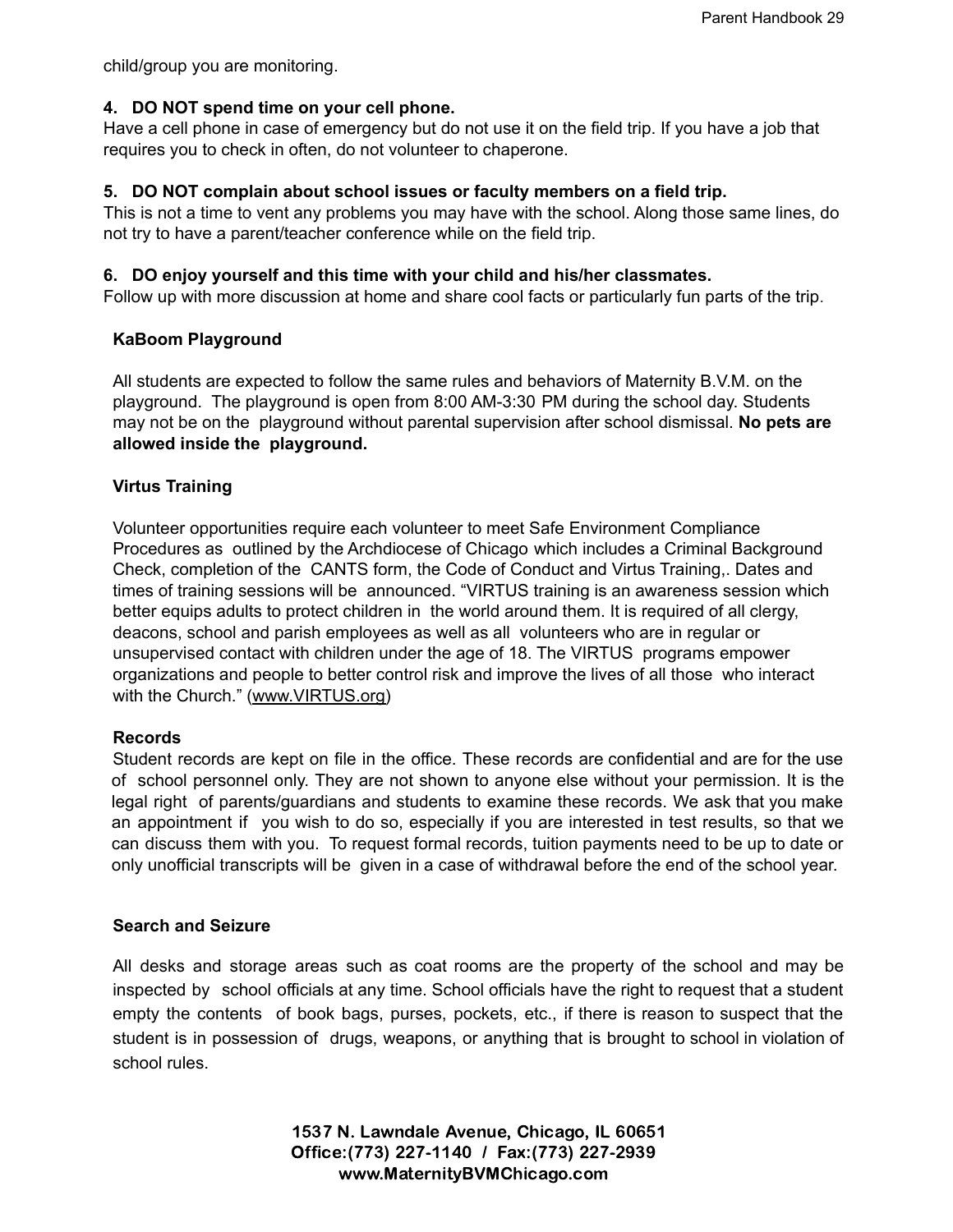child/group you are monitoring.

# **4. DO NOT spend time on your cell phone.**

Have a cell phone in case of emergency but do not use it on the field trip. If you have a job that requires you to check in often, do not volunteer to chaperone.

# **5. DO NOT complain about school issues or faculty members on a field trip.**

This is not a time to vent any problems you may have with the school. Along those same lines, do not try to have a parent/teacher conference while on the field trip.

# **6. DO enjoy yourself and this time with your child and his/her classmates.**

Follow up with more discussion at home and share cool facts or particularly fun parts of the trip.

# **KaBoom Playground**

All students are expected to follow the same rules and behaviors of Maternity B.V.M. on the playground. The playground is open from 8:00 AM-3:30 PM during the school day. Students may not be on the playground without parental supervision after school dismissal. **No pets are allowed inside the playground.**

# **Virtus Training**

Volunteer opportunities require each volunteer to meet Safe Environment Compliance Procedures as outlined by the Archdiocese of Chicago which includes a Criminal Background Check, completion of the CANTS form, the Code of Conduct and Virtus Training,. Dates and times of training sessions will be announced. "VIRTUS training is an awareness session which better equips adults to protect children in the world around them. It is required of all clergy, deacons, school and parish employees as well as all volunteers who are in regular or unsupervised contact with children under the age of 18. The VIRTUS programs empower organizations and people to better control risk and improve the lives of all those who interact with the Church." (www.VIRTUS.org)

#### **Records**

Student records are kept on file in the office. These records are confidential and are for the use of school personnel only. They are not shown to anyone else without your permission. It is the legal right of parents/guardians and students to examine these records. We ask that you make an appointment if you wish to do so, especially if you are interested in test results, so that we can discuss them with you. To request formal records, tuition payments need to be up to date or only unofficial transcripts will be given in a case of withdrawal before the end of the school year.

#### **Search and Seizure**

All desks and storage areas such as coat rooms are the property of the school and may be inspected by school officials at any time. School officials have the right to request that a student empty the contents of book bags, purses, pockets, etc., if there is reason to suspect that the student is in possession of drugs, weapons, or anything that is brought to school in violation of school rules.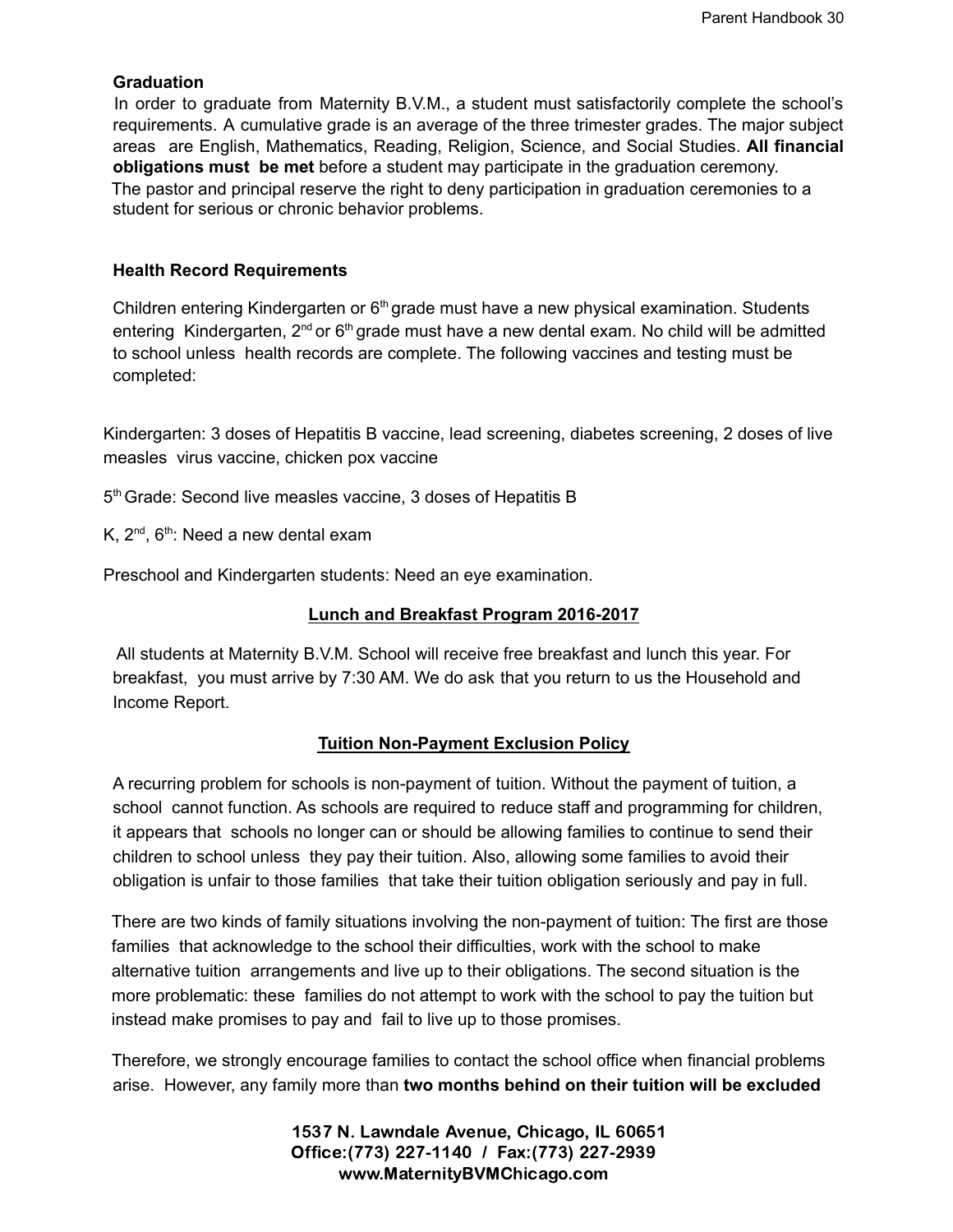#### **Graduation**

In order to graduate from Maternity B.V.M., a student must satisfactorily complete the school's requirements. A cumulative grade is an average of the three trimester grades. The major subject areas are English, Mathematics, Reading, Religion, Science, and Social Studies. **All financial obligations must be met** before a student may participate in the graduation ceremony. The pastor and principal reserve the right to deny participation in graduation ceremonies to a student for serious or chronic behavior problems.

#### **Health Record Requirements**

Children entering Kindergarten or 6<sup>th</sup> grade must have a new physical examination. Students entering Kindergarten,  $2^{nd}$  or  $6<sup>th</sup>$  grade must have a new dental exam. No child will be admitted to school unless health records are complete. The following vaccines and testing must be completed:

Kindergarten: 3 doses of Hepatitis B vaccine, lead screening, diabetes screening, 2 doses of live measles virus vaccine, chicken pox vaccine

5<sup>th</sup> Grade: Second live measles vaccine, 3 doses of Hepatitis B

K,  $2^{nd}$ ,  $6^{th}$ : Need a new dental exam

Preschool and Kindergarten students: Need an eye examination.

# **Lunch and Breakfast Program 2016-2017**

All students at Maternity B.V.M. School will receive free breakfast and lunch this year. For breakfast, you must arrive by 7:30 AM. We do ask that you return to us the Household and Income Report.

# **Tuition Non-Payment Exclusion Policy**

A recurring problem for schools is non-payment of tuition. Without the payment of tuition, a school cannot function. As schools are required to reduce staff and programming for children, it appears that schools no longer can or should be allowing families to continue to send their children to school unless they pay their tuition. Also, allowing some families to avoid their obligation is unfair to those families that take their tuition obligation seriously and pay in full.

There are two kinds of family situations involving the non-payment of tuition: The first are those families that acknowledge to the school their difficulties, work with the school to make alternative tuition arrangements and live up to their obligations. The second situation is the more problematic: these families do not attempt to work with the school to pay the tuition but instead make promises to pay and fail to live up to those promises.

Therefore, we strongly encourage families to contact the school office when financial problems arise. However, any family more than **two months behind on their tuition will be excluded**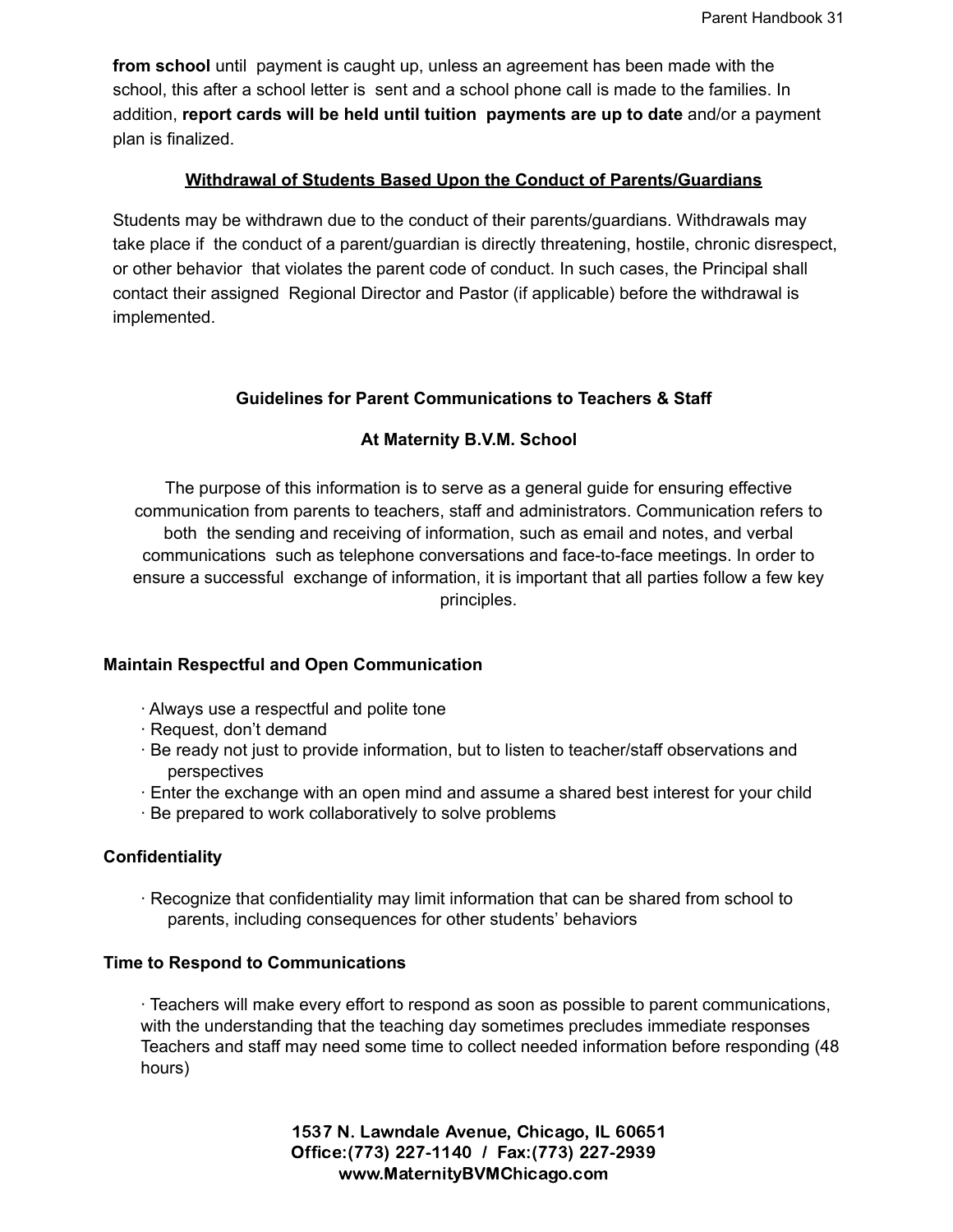**from school** until payment is caught up, unless an agreement has been made with the school, this after a school letter is sent and a school phone call is made to the families. In addition, **report cards will be held until tuition payments are up to date** and/or a payment plan is finalized.

# **Withdrawal of Students Based Upon the Conduct of Parents/Guardians**

Students may be withdrawn due to the conduct of their parents/guardians. Withdrawals may take place if the conduct of a parent/guardian is directly threatening, hostile, chronic disrespect, or other behavior that violates the parent code of conduct. In such cases, the Principal shall contact their assigned Regional Director and Pastor (if applicable) before the withdrawal is implemented.

# **Guidelines for Parent Communications to Teachers & Staff**

# **At Maternity B.V.M. School**

The purpose of this information is to serve as a general guide for ensuring effective communication from parents to teachers, staff and administrators. Communication refers to both the sending and receiving of information, such as email and notes, and verbal communications such as telephone conversations and face-to-face meetings. In order to ensure a successful exchange of information, it is important that all parties follow a few key principles.

# **Maintain Respectful and Open Communication**

- ∙ Always use a respectful and polite tone
- ∙ Request, don't demand
- ∙ Be ready not just to provide information, but to listen to teacher/staff observations and perspectives
- ∙ Enter the exchange with an open mind and assume a shared best interest for your child
- ∙ Be prepared to work collaboratively to solve problems

# **Confidentiality**

∙ Recognize that confidentiality may limit information that can be shared from school to parents, including consequences for other students' behaviors

#### **Time to Respond to Communications**

∙ Teachers will make every effort to respond as soon as possible to parent communications, with the understanding that the teaching day sometimes precludes immediate responses Teachers and staff may need some time to collect needed information before responding (48 hours)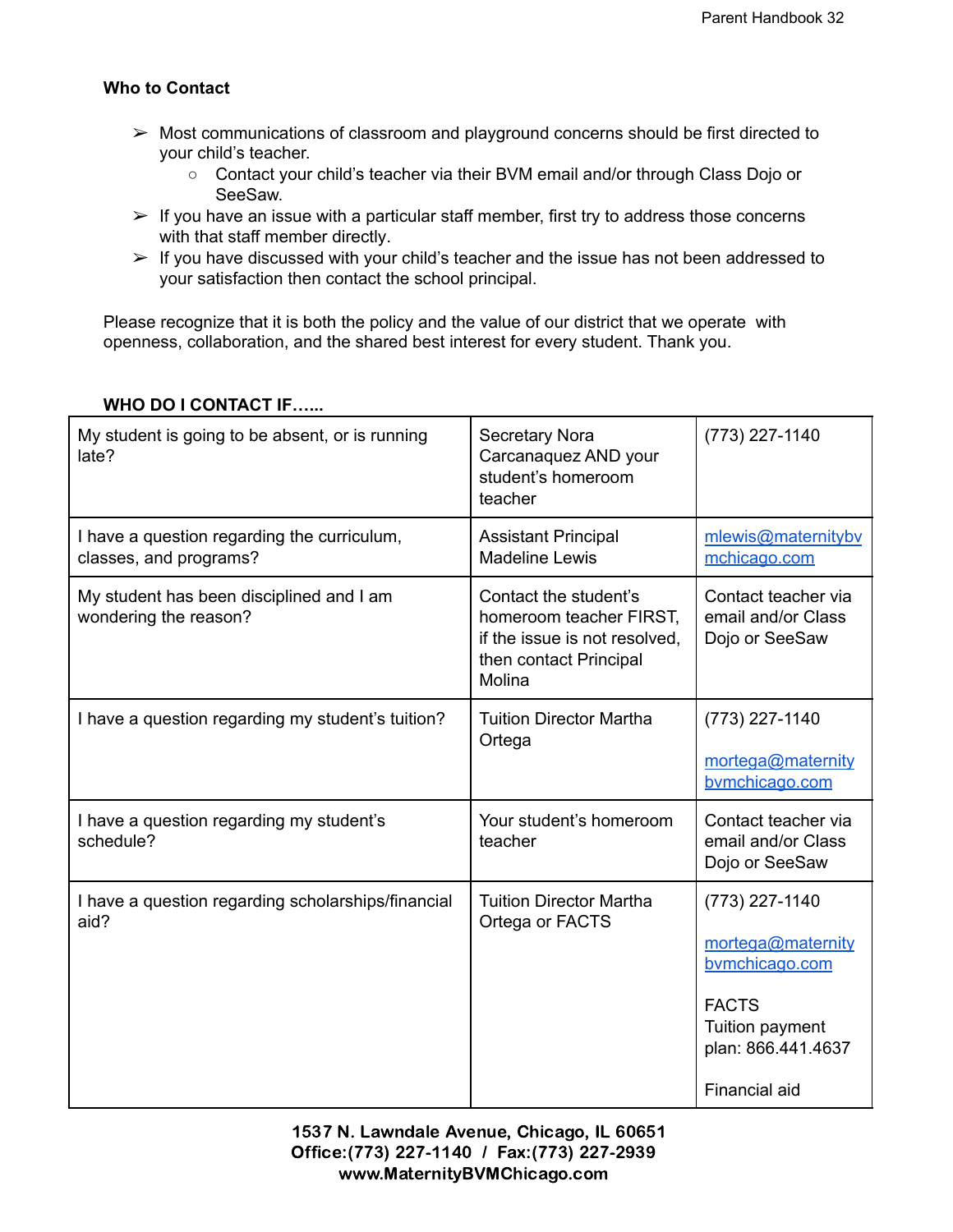# **Who to Contact**

- $\triangleright$  Most communications of classroom and playground concerns should be first directed to your child's teacher.
	- Contact your child's teacher via their BVM email and/or through Class Dojo or SeeSaw.
- $\triangleright$  If you have an issue with a particular staff member, first try to address those concerns with that staff member directly.
- $\triangleright$  If you have discussed with your child's teacher and the issue has not been addressed to your satisfaction then contact the school principal.

Please recognize that it is both the policy and the value of our district that we operate with openness, collaboration, and the shared best interest for every student. Thank you.

| My student is going to be absent, or is running<br>late?              | <b>Secretary Nora</b><br>Carcanaquez AND your<br>student's homeroom<br>teacher                                                                                                       | (773) 227-1140                                                                                                                  |  |
|-----------------------------------------------------------------------|--------------------------------------------------------------------------------------------------------------------------------------------------------------------------------------|---------------------------------------------------------------------------------------------------------------------------------|--|
| I have a question regarding the curriculum,<br>classes, and programs? | <b>Assistant Principal</b><br><b>Madeline Lewis</b>                                                                                                                                  | mlewis@maternitybv<br>mchicago.com                                                                                              |  |
| My student has been disciplined and I am<br>wondering the reason?     | Contact teacher via<br>Contact the student's<br>homeroom teacher FIRST,<br>email and/or Class<br>if the issue is not resolved,<br>Dojo or SeeSaw<br>then contact Principal<br>Molina |                                                                                                                                 |  |
| I have a question regarding my student's tuition?                     | <b>Tuition Director Martha</b><br>Ortega                                                                                                                                             | (773) 227-1140<br>mortega@maternity<br>bymchicago.com                                                                           |  |
| I have a question regarding my student's<br>schedule?                 | Your student's homeroom<br>teacher                                                                                                                                                   | Contact teacher via<br>email and/or Class<br>Dojo or SeeSaw                                                                     |  |
| I have a question regarding scholarships/financial<br>aid?            | <b>Tuition Director Martha</b><br>Ortega or FACTS                                                                                                                                    | (773) 227-1140<br>mortega@maternity<br>bymchicago.com<br><b>FACTS</b><br>Tuition payment<br>plan: 866.441.4637<br>Financial aid |  |

# **WHO DO I CONTACT IF…...**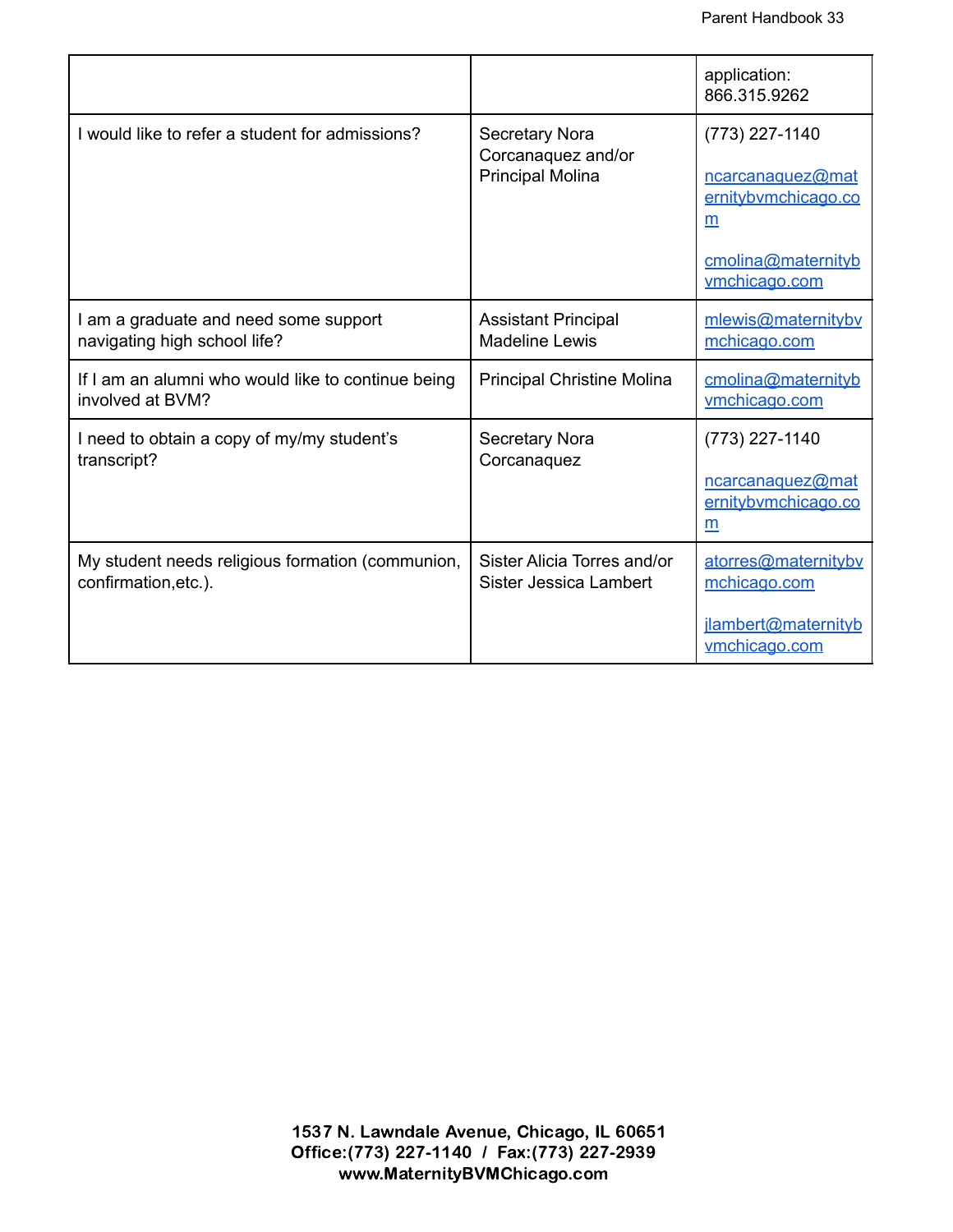|                                                                          |                                                                        | application:<br>866.315.9262                                                                          |
|--------------------------------------------------------------------------|------------------------------------------------------------------------|-------------------------------------------------------------------------------------------------------|
| I would like to refer a student for admissions?                          | <b>Secretary Nora</b><br>Corcanaquez and/or<br><b>Principal Molina</b> | (773) 227-1140<br>ncarcanaquez@mat<br>ernitybymchicago.co<br>m<br>cmolina@maternityb<br>vmchicago.com |
| I am a graduate and need some support<br>navigating high school life?    | <b>Assistant Principal</b><br><b>Madeline Lewis</b>                    | mlewis@maternityby<br>mchicago.com                                                                    |
| If I am an alumni who would like to continue being<br>involved at BVM?   | <b>Principal Christine Molina</b>                                      | cmolina@maternityb<br>vmchicago.com                                                                   |
| I need to obtain a copy of my/my student's<br>transcript?                | <b>Secretary Nora</b><br>Corcanaquez                                   | (773) 227-1140<br>ncarcanaquez@mat<br>ernitybvmchicago.co<br>m                                        |
| My student needs religious formation (communion,<br>confirmation, etc.). | Sister Alicia Torres and/or<br>Sister Jessica Lambert                  | atorres@maternitybv<br>mchicago.com<br>jlambert@maternityb<br>vmchicago.com                           |